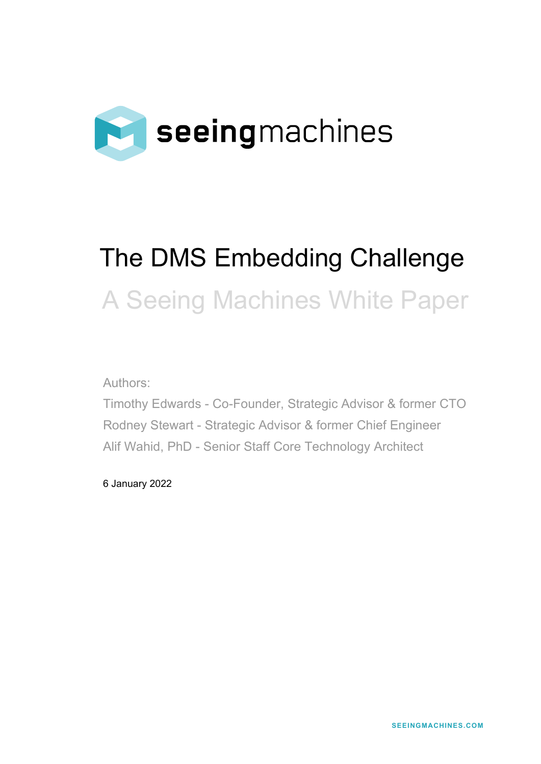

# The DMS Embedding Challenge A Seeing Machines White Paper

Authors:

Timothy Edwards - Co-Founder, Strategic Advisor & former CTO Rodney Stewart - Strategic Advisor & former Chief Engineer Alif Wahid, PhD - Senior Staff Core Technology Architect

6 January 2022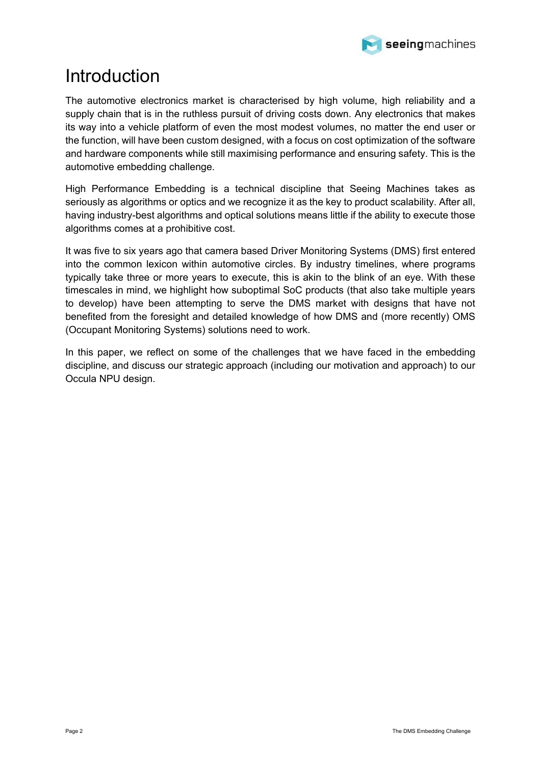

# <span id="page-1-0"></span>Introduction

The automotive electronics market is characterised by high volume, high reliability and a supply chain that is in the ruthless pursuit of driving costs down. Any electronics that makes its way into a vehicle platform of even the most modest volumes, no matter the end user or the function, will have been custom designed, with a focus on cost optimization of the software and hardware components while still maximising performance and ensuring safety. This is the automotive embedding challenge.

High Performance Embedding is a technical discipline that Seeing Machines takes as seriously as algorithms or optics and we recognize it as the key to product scalability. After all, having industry-best algorithms and optical solutions means little if the ability to execute those algorithms comes at a prohibitive cost.

It was five to six years ago that camera based Driver Monitoring Systems (DMS) first entered into the common lexicon within automotive circles. By industry timelines, where programs typically take three or more years to execute, this is akin to the blink of an eye. With these timescales in mind, we highlight how suboptimal SoC products (that also take multiple years to develop) have been attempting to serve the DMS market with designs that have not benefited from the foresight and detailed knowledge of how DMS and (more recently) OMS (Occupant Monitoring Systems) solutions need to work.

In this paper, we reflect on some of the challenges that we have faced in the embedding discipline, and discuss our strategic approach (including our motivation and approach) to our Occula NPU design.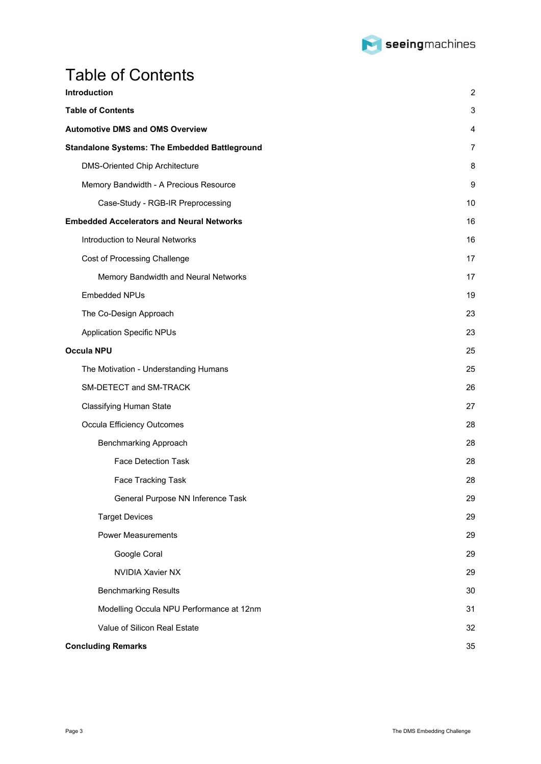

# <span id="page-2-0"></span>Table of Contents

| <b>Introduction</b>                                  | $\overline{2}$ |
|------------------------------------------------------|----------------|
| <b>Table of Contents</b>                             | 3              |
| <b>Automotive DMS and OMS Overview</b>               | 4              |
| <b>Standalone Systems: The Embedded Battleground</b> | 7              |
| <b>DMS-Oriented Chip Architecture</b>                | 8              |
| Memory Bandwidth - A Precious Resource               | 9              |
| Case-Study - RGB-IR Preprocessing                    | 10             |
| <b>Embedded Accelerators and Neural Networks</b>     | 16             |
| Introduction to Neural Networks                      | 16             |
| Cost of Processing Challenge                         | 17             |
| Memory Bandwidth and Neural Networks                 | 17             |
| Embedded NPUs                                        | 19             |
| The Co-Design Approach                               | 23             |
| <b>Application Specific NPUs</b>                     | 23             |
| Occula NPU                                           | 25             |
| The Motivation - Understanding Humans                | 25             |
| SM-DETECT and SM-TRACK                               | 26             |
| <b>Classifying Human State</b>                       | 27             |
| <b>Occula Efficiency Outcomes</b>                    | 28             |
| <b>Benchmarking Approach</b>                         | 28             |
| <b>Face Detection Task</b>                           | 28             |
| Face Tracking Task                                   | 28             |
| General Purpose NN Inference Task                    | 29             |
| <b>Target Devices</b>                                | 29             |
| <b>Power Measurements</b>                            | 29             |
| Google Coral                                         | 29             |
| <b>NVIDIA Xavier NX</b>                              | 29             |
| <b>Benchmarking Results</b>                          | 30             |
| Modelling Occula NPU Performance at 12nm             | 31             |
| Value of Silicon Real Estate                         | 32             |
| <b>Concluding Remarks</b>                            | 35             |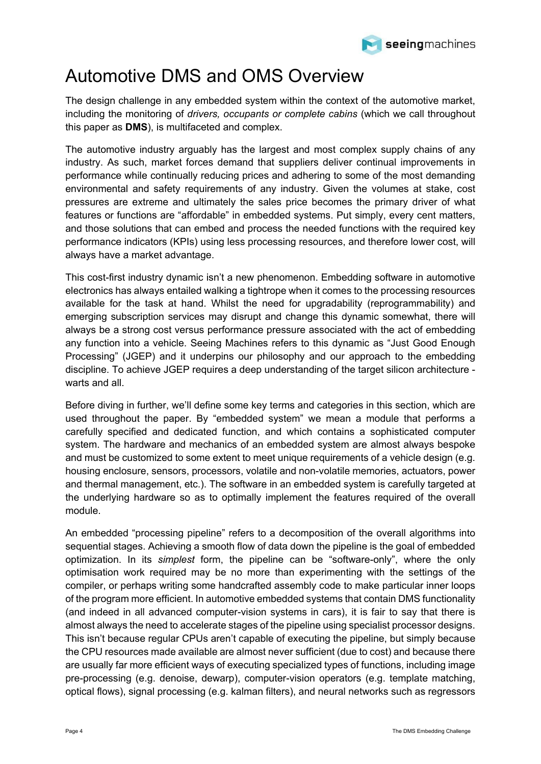

# <span id="page-3-0"></span>Automotive DMS and OMS Overview

The design challenge in any embedded system within the context of the automotive market, including the monitoring of *drivers, occupants or complete cabins* (which we call throughout this paper as **DMS**), is multifaceted and complex.

The automotive industry arguably has the largest and most complex supply chains of any industry. As such, market forces demand that suppliers deliver continual improvements in performance while continually reducing prices and adhering to some of the most demanding environmental and safety requirements of any industry. Given the volumes at stake, cost pressures are extreme and ultimately the sales price becomes the primary driver of what features or functions are "affordable" in embedded systems. Put simply, every cent matters, and those solutions that can embed and process the needed functions with the required key performance indicators (KPIs) using less processing resources, and therefore lower cost, will always have a market advantage.

This cost-first industry dynamic isn't a new phenomenon. Embedding software in automotive electronics has always entailed walking a tightrope when it comes to the processing resources available for the task at hand. Whilst the need for upgradability (reprogrammability) and emerging subscription services may disrupt and change this dynamic somewhat, there will always be a strong cost versus performance pressure associated with the act of embedding any function into a vehicle. Seeing Machines refers to this dynamic as "Just Good Enough Processing" (JGEP) and it underpins our philosophy and our approach to the embedding discipline. To achieve JGEP requires a deep understanding of the target silicon architecture warts and all.

Before diving in further, we'll define some key terms and categories in this section, which are used throughout the paper. By "embedded system" we mean a module that performs a carefully specified and dedicated function, and which contains a sophisticated computer system. The hardware and mechanics of an embedded system are almost always bespoke and must be customized to some extent to meet unique requirements of a vehicle design (e.g. housing enclosure, sensors, processors, volatile and non-volatile memories, actuators, power and thermal management, etc.). The software in an embedded system is carefully targeted at the underlying hardware so as to optimally implement the features required of the overall module.

An embedded "processing pipeline" refers to a decomposition of the overall algorithms into sequential stages. Achieving a smooth flow of data down the pipeline is the goal of embedded optimization. In its *simplest* form, the pipeline can be "software-only", where the only optimisation work required may be no more than experimenting with the settings of the compiler, or perhaps writing some handcrafted assembly code to make particular inner loops of the program more efficient. In automotive embedded systems that contain DMS functionality (and indeed in all advanced computer-vision systems in cars), it is fair to say that there is almost always the need to accelerate stages of the pipeline using specialist processor designs. This isn't because regular CPUs aren't capable of executing the pipeline, but simply because the CPU resources made available are almost never sufficient (due to cost) and because there are usually far more efficient ways of executing specialized types of functions, including image pre-processing (e.g. denoise, dewarp), computer-vision operators (e.g. template matching, optical flows), signal processing (e.g. kalman filters), and neural networks such as regressors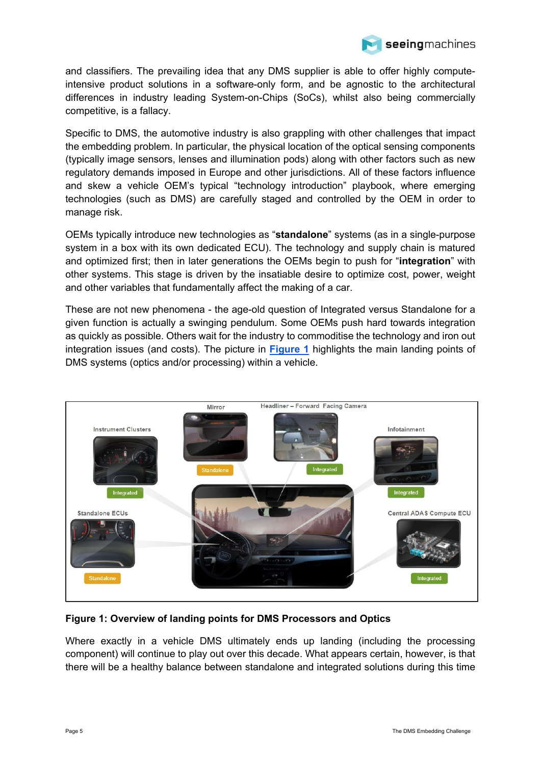

and classifiers. The prevailing idea that any DMS supplier is able to offer highly computeintensive product solutions in a software-only form, and be agnostic to the architectural differences in industry leading System-on-Chips (SoCs), whilst also being commercially competitive, is a fallacy.

Specific to DMS, the automotive industry is also grappling with other challenges that impact the embedding problem. In particular, the physical location of the optical sensing components (typically image sensors, lenses and illumination pods) along with other factors such as new regulatory demands imposed in Europe and other jurisdictions. All of these factors influence and skew a vehicle OEM's typical "technology introduction" playbook, where emerging technologies (such as DMS) are carefully staged and controlled by the OEM in order to manage risk.

OEMs typically introduce new technologies as "**standalone**" systems (as in a single-purpose system in a box with its own dedicated ECU). The technology and supply chain is matured and optimized first; then in later generations the OEMs begin to push for "**integration**" with other systems. This stage is driven by the insatiable desire to optimize cost, power, weight and other variables that fundamentally affect the making of a car.

These are not new phenomena - the age-old question of Integrated versus Standalone for a given function is actually a swinging pendulum. Some OEMs push hard towards integration as quickly as possible. Others wait for the industry to commoditise the technology and iron out integration issues (and costs). The picture in **[Figure 1](#page-4-0)** highlights the main landing points of DMS systems (optics and/or processing) within a vehicle.



<span id="page-4-0"></span>**Figure 1: Overview of landing points for DMS Processors and Optics**

Where exactly in a vehicle DMS ultimately ends up landing (including the processing component) will continue to play out over this decade. What appears certain, however, is that there will be a healthy balance between standalone and integrated solutions during this time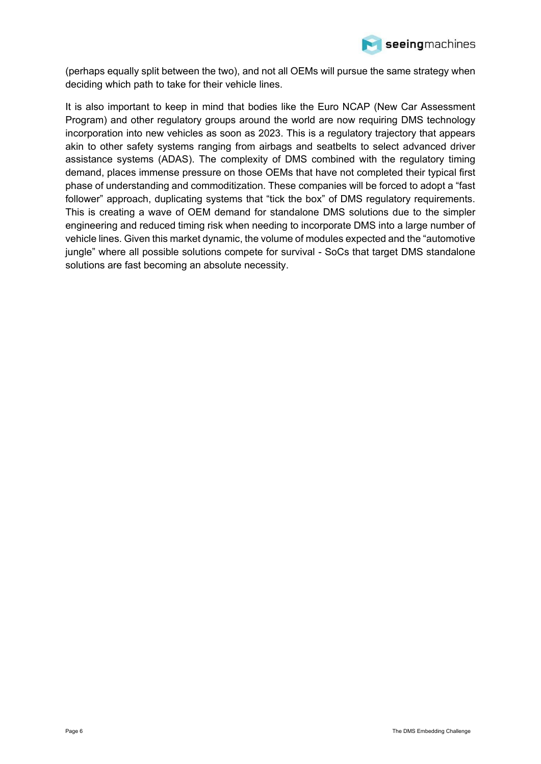

(perhaps equally split between the two), and not all OEMs will pursue the same strategy when deciding which path to take for their vehicle lines.

It is also important to keep in mind that bodies like the Euro NCAP (New Car Assessment Program) and other regulatory groups around the world are now requiring DMS technology incorporation into new vehicles as soon as 2023. This is a regulatory trajectory that appears akin to other safety systems ranging from airbags and seatbelts to select advanced driver assistance systems (ADAS). The complexity of DMS combined with the regulatory timing demand, places immense pressure on those OEMs that have not completed their typical first phase of understanding and commoditization. These companies will be forced to adopt a "fast follower" approach, duplicating systems that "tick the box" of DMS regulatory requirements. This is creating a wave of OEM demand for standalone DMS solutions due to the simpler engineering and reduced timing risk when needing to incorporate DMS into a large number of vehicle lines. Given this market dynamic, the volume of modules expected and the "automotive jungle" where all possible solutions compete for survival - SoCs that target DMS standalone solutions are fast becoming an absolute necessity.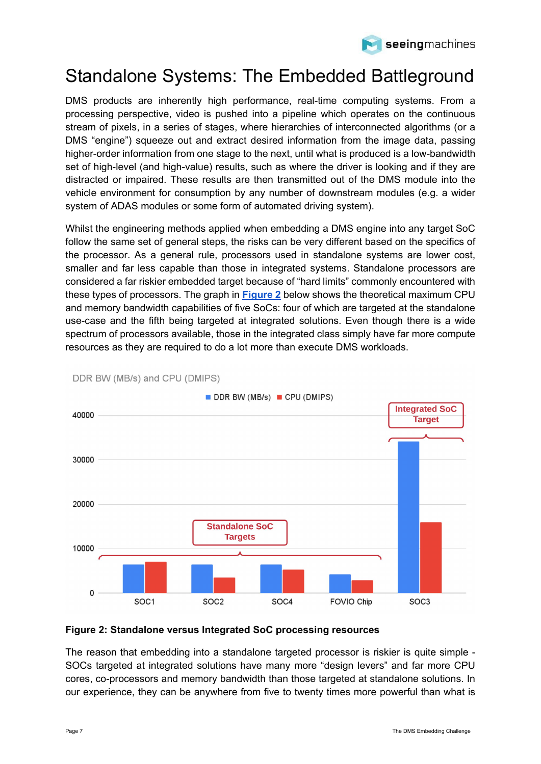

# <span id="page-6-0"></span>Standalone Systems: The Embedded Battleground

DMS products are inherently high performance, real-time computing systems. From a processing perspective, video is pushed into a pipeline which operates on the continuous stream of pixels, in a series of stages, where hierarchies of interconnected algorithms (or a DMS "engine") squeeze out and extract desired information from the image data, passing higher-order information from one stage to the next, until what is produced is a low-bandwidth set of high-level (and high-value) results, such as where the driver is looking and if they are distracted or impaired. These results are then transmitted out of the DMS module into the vehicle environment for consumption by any number of downstream modules (e.g. a wider system of ADAS modules or some form of automated driving system).

Whilst the engineering methods applied when embedding a DMS engine into any target SoC follow the same set of general steps, the risks can be very different based on the specifics of the processor. As a general rule, processors used in standalone systems are lower cost, smaller and far less capable than those in integrated systems. Standalone processors are considered a far riskier embedded target because of "hard limits" commonly encountered with these types of processors. The graph in **[Figure 2](#page-6-1)** below shows the theoretical maximum CPU and memory bandwidth capabilities of five SoCs: four of which are targeted at the standalone use-case and the fifth being targeted at integrated solutions. Even though there is a wide spectrum of processors available, those in the integrated class simply have far more compute resources as they are required to do a lot more than execute DMS workloads.



DDR BW (MB/s) and CPU (DMIPS)

#### <span id="page-6-1"></span>**Figure 2: Standalone versus Integrated SoC processing resources**

The reason that embedding into a standalone targeted processor is riskier is quite simple - SOCs targeted at integrated solutions have many more "design levers" and far more CPU cores, co-processors and memory bandwidth than those targeted at standalone solutions. In our experience, they can be anywhere from five to twenty times more powerful than what is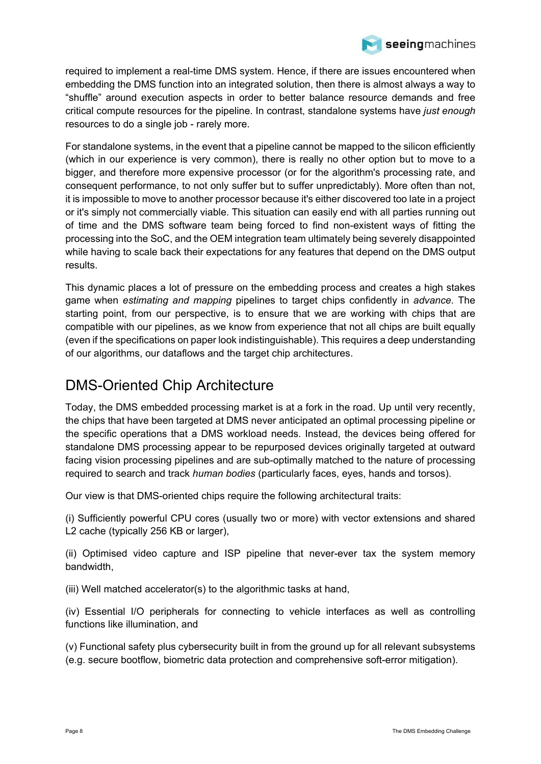

### seeingmachines

required to implement a real-time DMS system. Hence, if there are issues encountered when embedding the DMS function into an integrated solution, then there is almost always a way to "shuffle" around execution aspects in order to better balance resource demands and free critical compute resources for the pipeline. In contrast, standalone systems have *just enough* resources to do a single job - rarely more.

For standalone systems, in the event that a pipeline cannot be mapped to the silicon efficiently (which in our experience is very common), there is really no other option but to move to a bigger, and therefore more expensive processor (or for the algorithm's processing rate, and consequent performance, to not only suffer but to suffer unpredictably). More often than not, it is impossible to move to another processor because it's either discovered too late in a project or it's simply not commercially viable. This situation can easily end with all parties running out of time and the DMS software team being forced to find non-existent ways of fitting the processing into the SoC, and the OEM integration team ultimately being severely disappointed while having to scale back their expectations for any features that depend on the DMS output results.

This dynamic places a lot of pressure on the embedding process and creates a high stakes game when *estimating and mapping* pipelines to target chips confidently in *advance*. The starting point, from our perspective, is to ensure that we are working with chips that are compatible with our pipelines, as we know from experience that not all chips are built equally (even if the specifications on paper look indistinguishable). This requires a deep understanding of our algorithms, our dataflows and the target chip architectures.

### <span id="page-7-0"></span>DMS-Oriented Chip Architecture

Today, the DMS embedded processing market is at a fork in the road. Up until very recently, the chips that have been targeted at DMS never anticipated an optimal processing pipeline or the specific operations that a DMS workload needs. Instead, the devices being offered for standalone DMS processing appear to be repurposed devices originally targeted at outward facing vision processing pipelines and are sub-optimally matched to the nature of processing required to search and track *human bodies* (particularly faces, eyes, hands and torsos).

Our view is that DMS-oriented chips require the following architectural traits:

(i) Sufficiently powerful CPU cores (usually two or more) with vector extensions and shared L<sub>2</sub> cache (typically 256 KB or larger),

(ii) Optimised video capture and ISP pipeline that never-ever tax the system memory bandwidth,

(iii) Well matched accelerator(s) to the algorithmic tasks at hand,

(iv) Essential I/O peripherals for connecting to vehicle interfaces as well as controlling functions like illumination, and

(v) Functional safety plus cybersecurity built in from the ground up for all relevant subsystems (e.g. secure bootflow, biometric data protection and comprehensive soft-error mitigation).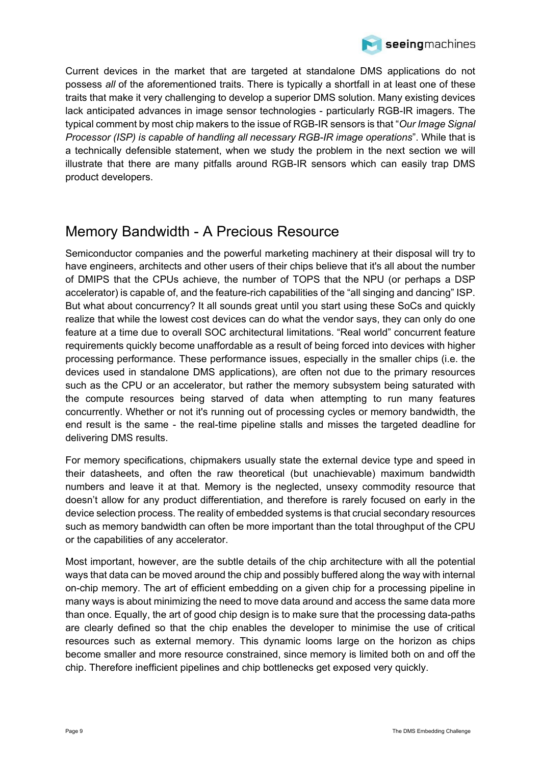

Current devices in the market that are targeted at standalone DMS applications do not possess *all* of the aforementioned traits. There is typically a shortfall in at least one of these traits that make it very challenging to develop a superior DMS solution. Many existing devices lack anticipated advances in image sensor technologies - particularly RGB-IR imagers. The typical comment by most chip makers to the issue of RGB-IR sensors is that "*Our Image Signal Processor (ISP) is capable of handling all necessary RGB-IR image operations*". While that is a technically defensible statement, when we study the problem in the next section we will illustrate that there are many pitfalls around RGB-IR sensors which can easily trap DMS product developers.

### <span id="page-8-0"></span>Memory Bandwidth - A Precious Resource

Semiconductor companies and the powerful marketing machinery at their disposal will try to have engineers, architects and other users of their chips believe that it's all about the number of DMIPS that the CPUs achieve, the number of TOPS that the NPU (or perhaps a DSP accelerator) is capable of, and the feature-rich capabilities of the "all singing and dancing" ISP. But what about concurrency? It all sounds great until you start using these SoCs and quickly realize that while the lowest cost devices can do what the vendor says, they can only do one feature at a time due to overall SOC architectural limitations. "Real world" concurrent feature requirements quickly become unaffordable as a result of being forced into devices with higher processing performance. These performance issues, especially in the smaller chips (i.e. the devices used in standalone DMS applications), are often not due to the primary resources such as the CPU or an accelerator, but rather the memory subsystem being saturated with the compute resources being starved of data when attempting to run many features concurrently. Whether or not it's running out of processing cycles or memory bandwidth, the end result is the same - the real-time pipeline stalls and misses the targeted deadline for delivering DMS results.

For memory specifications, chipmakers usually state the external device type and speed in their datasheets, and often the raw theoretical (but unachievable) maximum bandwidth numbers and leave it at that. Memory is the neglected, unsexy commodity resource that doesn't allow for any product differentiation, and therefore is rarely focused on early in the device selection process. The reality of embedded systems is that crucial secondary resources such as memory bandwidth can often be more important than the total throughput of the CPU or the capabilities of any accelerator.

Most important, however, are the subtle details of the chip architecture with all the potential ways that data can be moved around the chip and possibly buffered along the way with internal on-chip memory. The art of efficient embedding on a given chip for a processing pipeline in many ways is about minimizing the need to move data around and access the same data more than once. Equally, the art of good chip design is to make sure that the processing data-paths are clearly defined so that the chip enables the developer to minimise the use of critical resources such as external memory. This dynamic looms large on the horizon as chips become smaller and more resource constrained, since memory is limited both on and off the chip. Therefore inefficient pipelines and chip bottlenecks get exposed very quickly.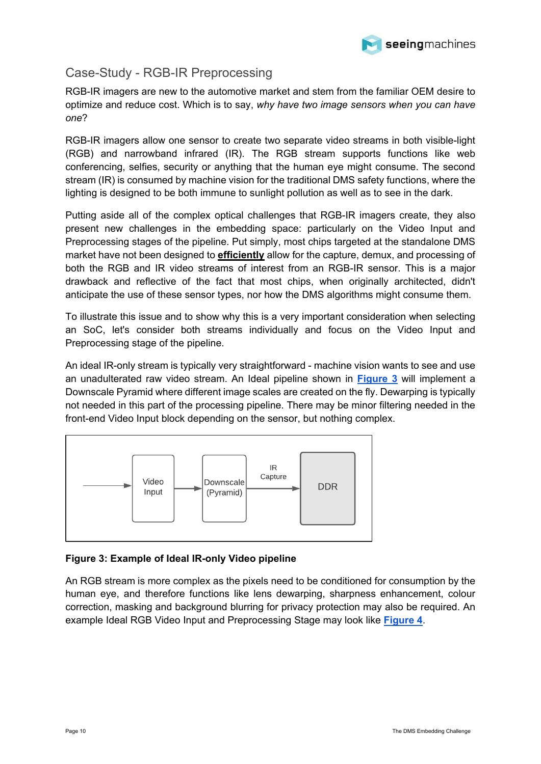

### <span id="page-9-0"></span>Case-Study - RGB-IR Preprocessing

RGB-IR imagers are new to the automotive market and stem from the familiar OEM desire to optimize and reduce cost. Which is to say, *why have two image sensors when you can have one*?

RGB-IR imagers allow one sensor to create two separate video streams in both visible-light (RGB) and narrowband infrared (IR). The RGB stream supports functions like web conferencing, selfies, security or anything that the human eye might consume. The second stream (IR) is consumed by machine vision for the traditional DMS safety functions, where the lighting is designed to be both immune to sunlight pollution as well as to see in the dark.

Putting aside all of the complex optical challenges that RGB-IR imagers create, they also present new challenges in the embedding space: particularly on the Video Input and Preprocessing stages of the pipeline. Put simply, most chips targeted at the standalone DMS market have not been designed to **efficiently** allow for the capture, demux, and processing of both the RGB and IR video streams of interest from an RGB-IR sensor. This is a major drawback and reflective of the fact that most chips, when originally architected, didn't anticipate the use of these sensor types, nor how the DMS algorithms might consume them.

To illustrate this issue and to show why this is a very important consideration when selecting an SoC, let's consider both streams individually and focus on the Video Input and Preprocessing stage of the pipeline.

An ideal IR-only stream is typically very straightforward - machine vision wants to see and use an unadulterated raw video stream. An Ideal pipeline shown in **[Figure 3](#page-9-1)** will implement a Downscale Pyramid where different image scales are created on the fly. Dewarping is typically not needed in this part of the processing pipeline. There may be minor filtering needed in the front-end Video Input block depending on the sensor, but nothing complex.



#### <span id="page-9-1"></span>**Figure 3: Example of Ideal IR-only Video pipeline**

An RGB stream is more complex as the pixels need to be conditioned for consumption by the human eye, and therefore functions like lens dewarping, sharpness enhancement, colour correction, masking and background blurring for privacy protection may also be required. An example Ideal RGB Video Input and Preprocessing Stage may look like **[Figure 4](#page-10-0)**.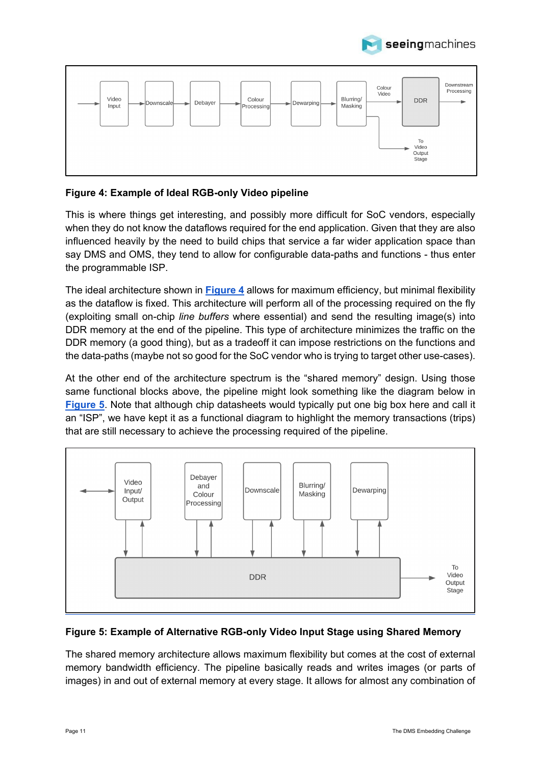



### <span id="page-10-0"></span>**Figure 4: Example of Ideal RGB-only Video pipeline**

This is where things get interesting, and possibly more difficult for SoC vendors, especially when they do not know the dataflows required for the end application. Given that they are also influenced heavily by the need to build chips that service a far wider application space than say DMS and OMS, they tend to allow for configurable data-paths and functions - thus enter the programmable ISP.

The ideal architecture shown in **[Figure 4](#page-10-0)** allows for maximum efficiency, but minimal flexibility as the dataflow is fixed. This architecture will perform all of the processing required on the fly (exploiting small on-chip *line buffers* where essential) and send the resulting image(s) into DDR memory at the end of the pipeline. This type of architecture minimizes the traffic on the DDR memory (a good thing), but as a tradeoff it can impose restrictions on the functions and the data-paths (maybe not so good for the SoC vendor who is trying to target other use-cases).

At the other end of the architecture spectrum is the "shared memory" design. Using those same functional blocks above, the pipeline might look something like the diagram below in **[Figure 5](#page-10-1)**. Note that although chip datasheets would typically put one big box here and call it an "ISP", we have kept it as a functional diagram to highlight the memory transactions (trips) that are still necessary to achieve the processing required of the pipeline.



#### <span id="page-10-1"></span>**Figure 5: Example of Alternative RGB-only Video Input Stage using Shared Memory**

The shared memory architecture allows maximum flexibility but comes at the cost of external memory bandwidth efficiency. The pipeline basically reads and writes images (or parts of images) in and out of external memory at every stage. It allows for almost any combination of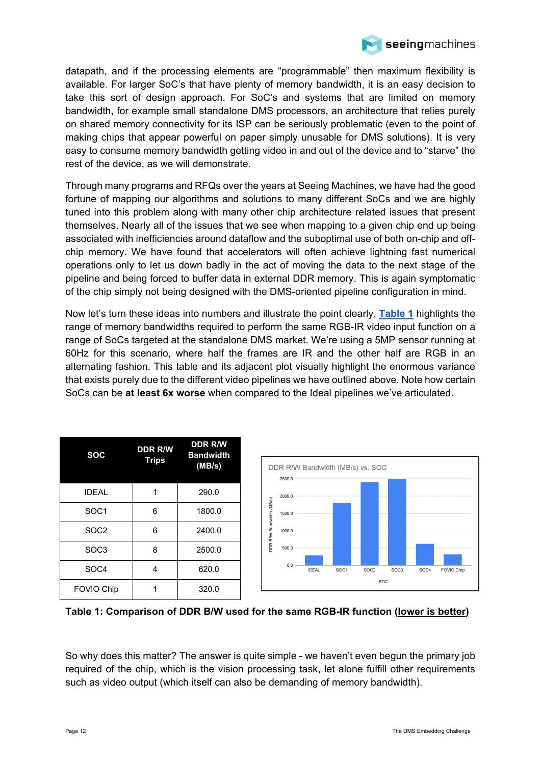

datapath, and if the processing elements are "programmable" then maximum flexibility is available. For larger SoC's that have plenty of memory bandwidth, it is an easy decision to take this sort of design approach. For SoC's and systems that are limited on memory bandwidth, for example small standalone DMS processors, an architecture that relies purely on shared memory connectivity for its ISP can be seriously problematic (even to the point of making chips that appear powerful on paper simply unusable for DMS solutions). It is very easy to consume memory bandwidth getting video in and out of the device and to "starve" the rest of the device, as we will demonstrate.

Through many programs and RFQs over the years at Seeing Machines, we have had the good fortune of mapping our algorithms and solutions to many different SoCs and we are highly tuned into this problem along with many other chip architecture related issues that present themselves. Nearly all of the issues that we see when mapping to a given chip end up being associated with inefficiencies around dataflow and the suboptimal use of both on-chip and offchip memory. We have found that accelerators will often achieve lightning fast numerical operations only to let us down badly in the act of moving the data to the next stage of the pipeline and being forced to buffer data in external DDR memory. This is again symptomatic of the chip simply not being designed with the DMS-oriented pipeline configuration in mind.

Now let's turn these ideas into numbers and illustrate the point clearly. **[Table 1](#page-11-0)** highlights the range of memory bandwidths required to perform the same RGB-IR video input function on a range of SoCs targeted at the standalone DMS market. We're using a 5MP sensor running at 60Hz for this scenario, where half the frames are IR and the other half are RGB in an alternating fashion. This table and its adjacent plot visually highlight the enormous variance that exists purely due to the different video pipelines we have outlined above. Note how certain SoCs can be **at least 6x worse** when compared to the Ideal pipelines we've articulated.

| <b>SOC</b>        | <b>DDR R/W</b><br><b>Trips</b> | <b>DDR R/W</b><br><b>Bandwidth</b><br>(MB/s) |
|-------------------|--------------------------------|----------------------------------------------|
| <b>IDEAL</b>      |                                | 290.0                                        |
| SOC <sub>1</sub>  | 6                              | 1800.0                                       |
| SOC <sub>2</sub>  | 6                              | 2400.0                                       |
| SOC <sub>3</sub>  | 8                              | 2500.0                                       |
| SOC <sub>4</sub>  | 4                              | 620.0                                        |
| <b>FOVIO Chip</b> |                                | 320.0                                        |



<span id="page-11-0"></span>**Table 1: Comparison of DDR B/W used for the same RGB-IR function (lower is better)**

So why does this matter? The answer is quite simple - we haven't even begun the primary job required of the chip, which is the vision processing task, let alone fulfill other requirements such as video output (which itself can also be demanding of memory bandwidth).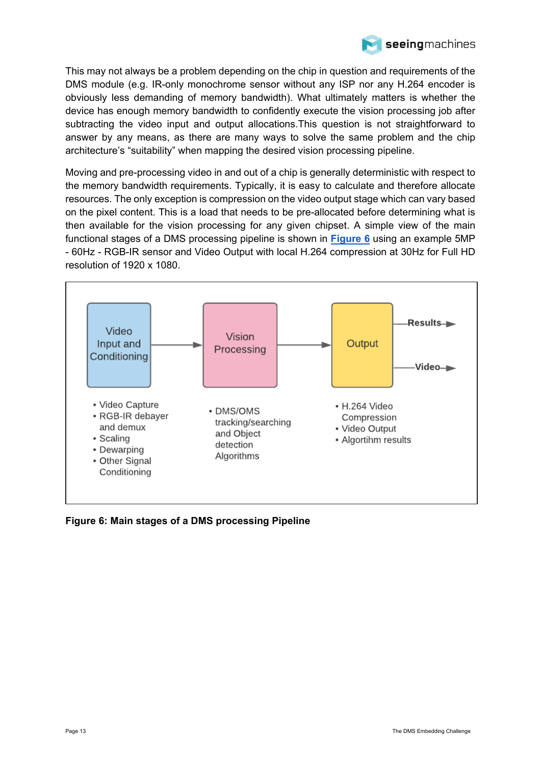

This may not always be a problem depending on the chip in question and requirements of the DMS module (e.g. IR-only monochrome sensor without any ISP nor any H.264 encoder is obviously less demanding of memory bandwidth). What ultimately matters is whether the device has enough memory bandwidth to confidently execute the vision processing job after subtracting the video input and output allocations.This question is not straightforward to answer by any means, as there are many ways to solve the same problem and the chip architecture's "suitability" when mapping the desired vision processing pipeline.

Moving and pre-processing video in and out of a chip is generally deterministic with respect to the memory bandwidth requirements. Typically, it is easy to calculate and therefore allocate resources. The only exception is compression on the video output stage which can vary based on the pixel content. This is a load that needs to be pre-allocated before determining what is then available for the vision processing for any given chipset. A simple view of the main functional stages of a DMS processing pipeline is shown in **[Figure 6](#page-12-0)** using an example 5MP - 60Hz - RGB-IR sensor and Video Output with local H.264 compression at 30Hz for Full HD resolution of 1920 x 1080.



<span id="page-12-0"></span>**Figure 6: Main stages of a DMS processing Pipeline**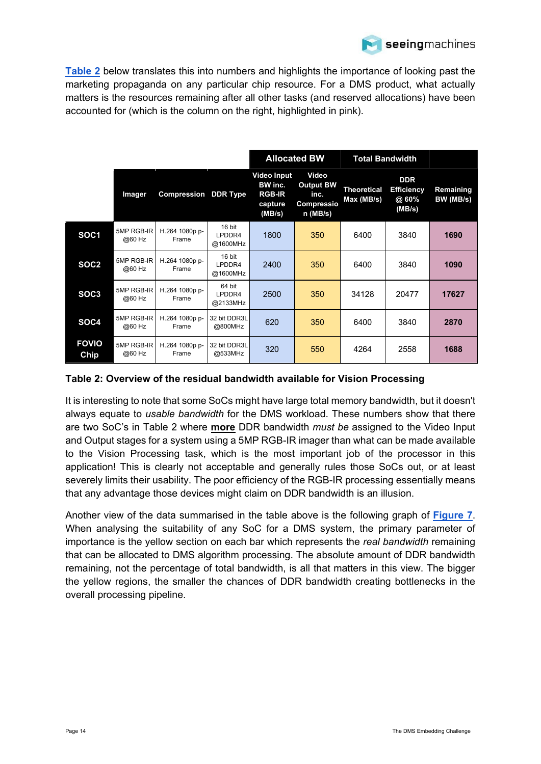

**[Table 2](#page-13-0)** below translates this into numbers and highlights the importance of looking past the marketing propaganda on any particular chip resource. For a DMS product, what actually matters is the resources remaining after all other tasks (and reserved allocations) have been accounted for (which is the column on the right, highlighted in pink).

|                      |                      |                         |                              | <b>Allocated BW</b>                                                 |                                                               | <b>Total Bandwidth</b>          |                                                    |                        |
|----------------------|----------------------|-------------------------|------------------------------|---------------------------------------------------------------------|---------------------------------------------------------------|---------------------------------|----------------------------------------------------|------------------------|
|                      | Imager               | Compression             | <b>DDR Type</b>              | <b>Video Input</b><br>BW inc.<br><b>RGB-IR</b><br>capture<br>(MB/s) | Video<br><b>Output BW</b><br>inc.<br>Compressio<br>$n$ (MB/s) | <b>Theoretical</b><br>Max(MB/s) | <b>DDR</b><br><b>Efficiency</b><br>@ 60%<br>(MB/s) | Remaining<br>BW (MB/s) |
| SOC <sub>1</sub>     | 5MP RGB-IR<br>@60 Hz | H.264 1080p p-<br>Frame | 16 bit<br>LPDDR4<br>@1600MHz | 1800                                                                | 350                                                           | 6400                            | 3840                                               | 1690                   |
| SOC <sub>2</sub>     | 5MP RGB-IR<br>@60 Hz | H.264 1080p p-<br>Frame | 16 bit<br>LPDDR4<br>@1600MHz | 2400                                                                | 350                                                           | 6400                            | 3840                                               | 1090                   |
| SOC <sub>3</sub>     | 5MP RGB-IR<br>@60 Hz | H.264 1080p p-<br>Frame | 64 bit<br>LPDDR4<br>@2133MHz | 2500                                                                | 350                                                           | 34128                           | 20477                                              | 17627                  |
| SOC4                 | 5MP RGB-IR<br>@60 Hz | H.264 1080p p-<br>Frame | 32 bit DDR3L<br>@800MHz      | 620                                                                 | 350                                                           | 6400                            | 3840                                               | 2870                   |
| <b>FOVIO</b><br>Chip | 5MP RGB-IR<br>@60 Hz | H.264 1080p p-<br>Frame | 32 bit DDR3L<br>@533MHz      | 320                                                                 | 550                                                           | 4264                            | 2558                                               | 1688                   |

### <span id="page-13-0"></span>**Table 2: Overview of the residual bandwidth available for Vision Processing**

It is interesting to note that some SoCs might have large total memory bandwidth, but it doesn't always equate to *usable bandwidth* for the DMS workload. These numbers show that there are two SoC's in Table 2 where **more** DDR bandwidth *must be* assigned to the Video Input and Output stages for a system using a 5MP RGB-IR imager than what can be made available to the Vision Processing task, which is the most important job of the processor in this application! This is clearly not acceptable and generally rules those SoCs out, or at least severely limits their usability. The poor efficiency of the RGB-IR processing essentially means that any advantage those devices might claim on DDR bandwidth is an illusion.

Another view of the data summarised in the table above is the following graph of **[Figure 7](#page-14-0)**. When analysing the suitability of any SoC for a DMS system, the primary parameter of importance is the yellow section on each bar which represents the *real bandwidth* remaining that can be allocated to DMS algorithm processing. The absolute amount of DDR bandwidth remaining, not the percentage of total bandwidth, is all that matters in this view. The bigger the yellow regions, the smaller the chances of DDR bandwidth creating bottlenecks in the overall processing pipeline.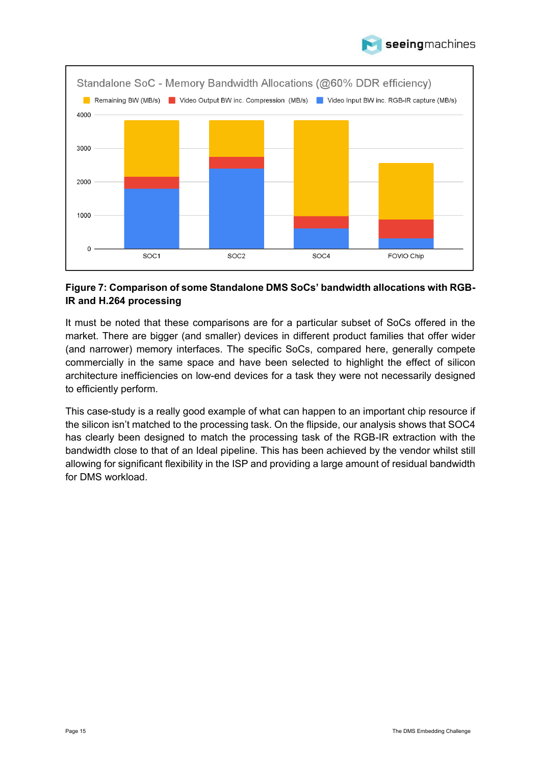



### <span id="page-14-0"></span>**Figure 7: Comparison of some Standalone DMS SoCs' bandwidth allocations with RGB-IR and H.264 processing**

It must be noted that these comparisons are for a particular subset of SoCs offered in the market. There are bigger (and smaller) devices in different product families that offer wider (and narrower) memory interfaces. The specific SoCs, compared here, generally compete commercially in the same space and have been selected to highlight the effect of silicon architecture inefficiencies on low-end devices for a task they were not necessarily designed to efficiently perform.

This case-study is a really good example of what can happen to an important chip resource if the silicon isn't matched to the processing task. On the flipside, our analysis shows that SOC4 has clearly been designed to match the processing task of the RGB-IR extraction with the bandwidth close to that of an Ideal pipeline. This has been achieved by the vendor whilst still allowing for significant flexibility in the ISP and providing a large amount of residual bandwidth for DMS workload.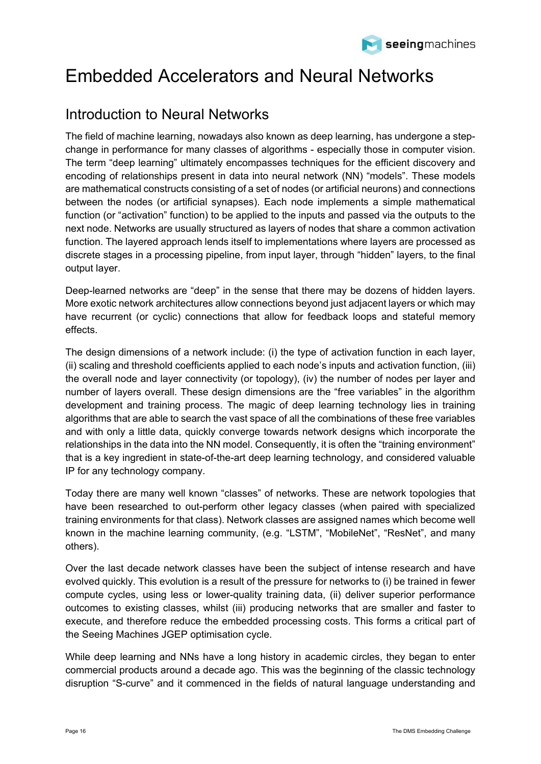

# <span id="page-15-0"></span>Embedded Accelerators and Neural Networks

### <span id="page-15-1"></span>Introduction to Neural Networks

The field of machine learning, nowadays also known as deep learning, has undergone a stepchange in performance for many classes of algorithms - especially those in computer vision. The term "deep learning" ultimately encompasses techniques for the efficient discovery and encoding of relationships present in data into neural network (NN) "models". These models are mathematical constructs consisting of a set of nodes (or artificial neurons) and connections between the nodes (or artificial synapses). Each node implements a simple mathematical function (or "activation" function) to be applied to the inputs and passed via the outputs to the next node. Networks are usually structured as layers of nodes that share a common activation function. The layered approach lends itself to implementations where layers are processed as discrete stages in a processing pipeline, from input layer, through "hidden" layers, to the final output layer.

Deep-learned networks are "deep" in the sense that there may be dozens of hidden layers. More exotic network architectures allow connections beyond just adjacent layers or which may have recurrent (or cyclic) connections that allow for feedback loops and stateful memory effects.

The design dimensions of a network include: (i) the type of activation function in each layer, (ii) scaling and threshold coefficients applied to each node's inputs and activation function, (iii) the overall node and layer connectivity (or topology), (iv) the number of nodes per layer and number of layers overall. These design dimensions are the "free variables" in the algorithm development and training process. The magic of deep learning technology lies in training algorithms that are able to search the vast space of all the combinations of these free variables and with only a little data, quickly converge towards network designs which incorporate the relationships in the data into the NN model. Consequently, it is often the "training environment" that is a key ingredient in state-of-the-art deep learning technology, and considered valuable IP for any technology company.

Today there are many well known "classes" of networks. These are network topologies that have been researched to out-perform other legacy classes (when paired with specialized training environments for that class). Network classes are assigned names which become well known in the machine learning community, (e.g. "LSTM", "MobileNet", "ResNet", and many others).

Over the last decade network classes have been the subject of intense research and have evolved quickly. This evolution is a result of the pressure for networks to (i) be trained in fewer compute cycles, using less or lower-quality training data, (ii) deliver superior performance outcomes to existing classes, whilst (iii) producing networks that are smaller and faster to execute, and therefore reduce the embedded processing costs. This forms a critical part of the Seeing Machines JGEP optimisation cycle.

While deep learning and NNs have a long history in academic circles, they began to enter commercial products around a decade ago. This was the beginning of the classic technology disruption "S-curve" and it commenced in the fields of natural language understanding and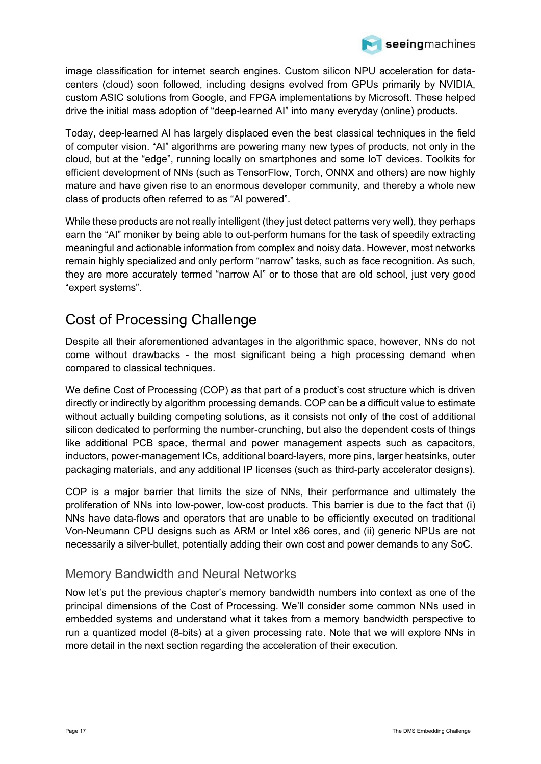

image classification for internet search engines. Custom silicon NPU acceleration for datacenters (cloud) soon followed, including designs evolved from GPUs primarily by NVIDIA, custom ASIC solutions from Google, and FPGA implementations by Microsoft. These helped drive the initial mass adoption of "deep-learned AI" into many everyday (online) products.

Today, deep-learned AI has largely displaced even the best classical techniques in the field of computer vision. "AI" algorithms are powering many new types of products, not only in the cloud, but at the "edge", running locally on smartphones and some IoT devices. Toolkits for efficient development of NNs (such as TensorFlow, Torch, ONNX and others) are now highly mature and have given rise to an enormous developer community, and thereby a whole new class of products often referred to as "AI powered".

While these products are not really intelligent (they just detect patterns very well), they perhaps earn the "AI" moniker by being able to out-perform humans for the task of speedily extracting meaningful and actionable information from complex and noisy data. However, most networks remain highly specialized and only perform "narrow" tasks, such as face recognition. As such, they are more accurately termed "narrow AI" or to those that are old school, just very good "expert systems".

### <span id="page-16-0"></span>Cost of Processing Challenge

Despite all their aforementioned advantages in the algorithmic space, however, NNs do not come without drawbacks - the most significant being a high processing demand when compared to classical techniques.

We define Cost of Processing (COP) as that part of a product's cost structure which is driven directly or indirectly by algorithm processing demands. COP can be a difficult value to estimate without actually building competing solutions, as it consists not only of the cost of additional silicon dedicated to performing the number-crunching, but also the dependent costs of things like additional PCB space, thermal and power management aspects such as capacitors, inductors, power-management ICs, additional board-layers, more pins, larger heatsinks, outer packaging materials, and any additional IP licenses (such as third-party accelerator designs).

COP is a major barrier that limits the size of NNs, their performance and ultimately the proliferation of NNs into low-power, low-cost products. This barrier is due to the fact that (i) NNs have data-flows and operators that are unable to be efficiently executed on traditional Von-Neumann CPU designs such as ARM or Intel x86 cores, and (ii) generic NPUs are not necessarily a silver-bullet, potentially adding their own cost and power demands to any SoC.

### <span id="page-16-1"></span>Memory Bandwidth and Neural Networks

Now let's put the previous chapter's memory bandwidth numbers into context as one of the principal dimensions of the Cost of Processing. We'll consider some common NNs used in embedded systems and understand what it takes from a memory bandwidth perspective to run a quantized model (8-bits) at a given processing rate. Note that we will explore NNs in more detail in the next section regarding the acceleration of their execution.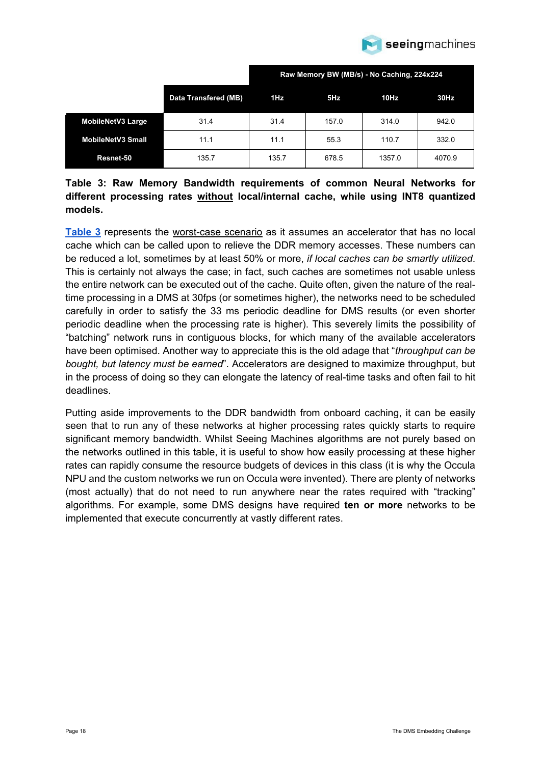

|                          |                             | Raw Memory BW (MB/s) - No Caching, 224x224 |       |        |        |
|--------------------------|-----------------------------|--------------------------------------------|-------|--------|--------|
|                          | <b>Data Transfered (MB)</b> | 1Hz                                        | 5Hz   | 10Hz   | 30Hz   |
| <b>MobileNetV3 Large</b> | 31.4                        | 31.4                                       | 157.0 | 314.0  | 942.0  |
| <b>MobileNetV3 Small</b> | 11.1                        | 11.1                                       | 55.3  | 110.7  | 332.0  |
| Resnet-50                | 135.7                       | 135.7                                      | 678.5 | 1357.0 | 4070.9 |

### <span id="page-17-0"></span>**Table 3: Raw Memory Bandwidth requirements of common Neural Networks for different processing rates without local/internal cache, while using INT8 quantized models.**

**[Table 3](#page-17-0)** represents the worst-case scenario as it assumes an accelerator that has no local cache which can be called upon to relieve the DDR memory accesses. These numbers can be reduced a lot, sometimes by at least 50% or more, *if local caches can be smartly utilized*. This is certainly not always the case; in fact, such caches are sometimes not usable unless the entire network can be executed out of the cache. Quite often, given the nature of the realtime processing in a DMS at 30fps (or sometimes higher), the networks need to be scheduled carefully in order to satisfy the 33 ms periodic deadline for DMS results (or even shorter periodic deadline when the processing rate is higher). This severely limits the possibility of "batching" network runs in contiguous blocks, for which many of the available accelerators have been optimised. Another way to appreciate this is the old adage that "*throughput can be bought, but latency must be earned*". Accelerators are designed to maximize throughput, but in the process of doing so they can elongate the latency of real-time tasks and often fail to hit deadlines.

Putting aside improvements to the DDR bandwidth from onboard caching, it can be easily seen that to run any of these networks at higher processing rates quickly starts to require significant memory bandwidth. Whilst Seeing Machines algorithms are not purely based on the networks outlined in this table, it is useful to show how easily processing at these higher rates can rapidly consume the resource budgets of devices in this class (it is why the Occula NPU and the custom networks we run on Occula were invented). There are plenty of networks (most actually) that do not need to run anywhere near the rates required with "tracking" algorithms. For example, some DMS designs have required **ten or more** networks to be implemented that execute concurrently at vastly different rates.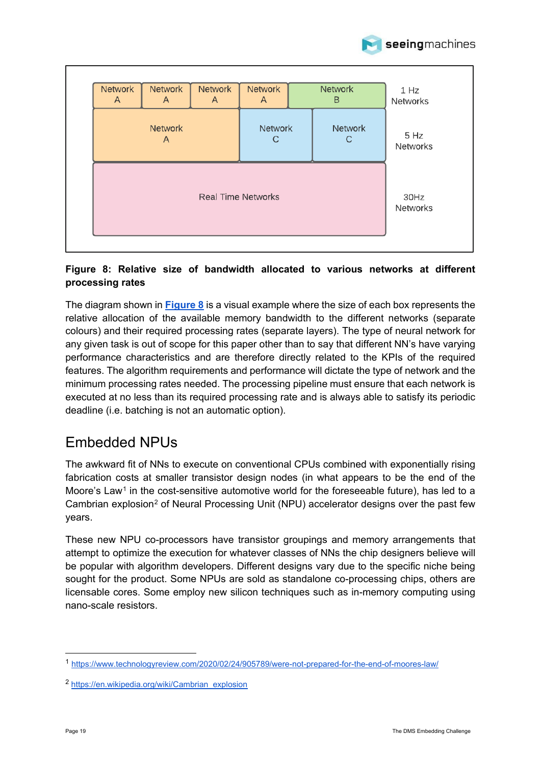

#### **Network Network Network Network Network**  $1 H<sub>Z</sub>$  $\Delta$  $\overline{A}$  $\overline{A}$  $\overline{A}$ <sub>R</sub> **Networks Network Network** Network  $5 Hz$  $\overline{A}$  $\mathsf{C}$  $\mathsf{C}$ **Networks Real Time Networks**  $30Hz$ **Networks**

### <span id="page-18-1"></span>**Figure 8: Relative size of bandwidth allocated to various networks at different processing rates**

The diagram shown in **[Figure 8](#page-18-1)** is a visual example where the size of each box represents the relative allocation of the available memory bandwidth to the different networks (separate colours) and their required processing rates (separate layers). The type of neural network for any given task is out of scope for this paper other than to say that different NN's have varying performance characteristics and are therefore directly related to the KPIs of the required features. The algorithm requirements and performance will dictate the type of network and the minimum processing rates needed. The processing pipeline must ensure that each network is executed at no less than its required processing rate and is always able to satisfy its periodic deadline (i.e. batching is not an automatic option).

### <span id="page-18-0"></span>Embedded NPUs

The awkward fit of NNs to execute on conventional CPUs combined with exponentially rising fabrication costs at smaller transistor design nodes (in what appears to be the end of the Moore's Law<sup>[1](#page-18-2)</sup> in the cost-sensitive automotive world for the foreseeable future), has led to a Cambrian explosion<sup>[2](#page-18-3)</sup> of Neural Processing Unit (NPU) accelerator designs over the past few years.

These new NPU co-processors have transistor groupings and memory arrangements that attempt to optimize the execution for whatever classes of NNs the chip designers believe will be popular with algorithm developers. Different designs vary due to the specific niche being sought for the product. Some NPUs are sold as standalone co-processing chips, others are licensable cores. Some employ new silicon techniques such as in-memory computing using nano-scale resistors.

<span id="page-18-2"></span><sup>1</sup> <https://www.technologyreview.com/2020/02/24/905789/were-not-prepared-for-the-end-of-moores-law/>

<span id="page-18-3"></span><sup>2</sup> [https://en.wikipedia.org/wiki/Cambrian\\_explosion](https://en.wikipedia.org/wiki/Cambrian_explosion)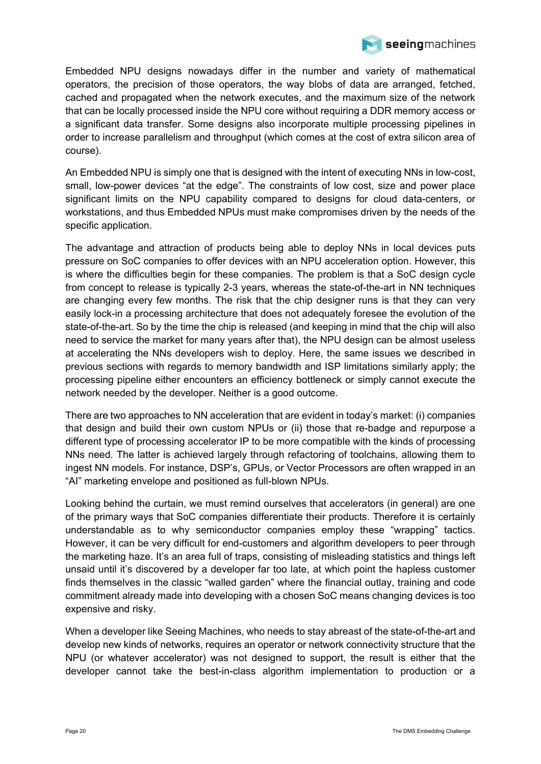

Embedded NPU designs nowadays differ in the number and variety of mathematical operators, the precision of those operators, the way blobs of data are arranged, fetched, cached and propagated when the network executes, and the maximum size of the network that can be locally processed inside the NPU core without requiring a DDR memory access or a significant data transfer. Some designs also incorporate multiple processing pipelines in order to increase parallelism and throughput (which comes at the cost of extra silicon area of course).

An Embedded NPU is simply one that is designed with the intent of executing NNs in low-cost, small, low-power devices "at the edge". The constraints of low cost, size and power place significant limits on the NPU capability compared to designs for cloud data-centers, or workstations, and thus Embedded NPUs must make compromises driven by the needs of the specific application.

The advantage and attraction of products being able to deploy NNs in local devices puts pressure on SoC companies to offer devices with an NPU acceleration option. However, this is where the difficulties begin for these companies. The problem is that a SoC design cycle from concept to release is typically 2-3 years, whereas the state-of-the-art in NN techniques are changing every few months. The risk that the chip designer runs is that they can very easily lock-in a processing architecture that does not adequately foresee the evolution of the state-of-the-art. So by the time the chip is released (and keeping in mind that the chip will also need to service the market for many years after that), the NPU design can be almost useless at accelerating the NNs developers wish to deploy. Here, the same issues we described in previous sections with regards to memory bandwidth and ISP limitations similarly apply; the processing pipeline either encounters an efficiency bottleneck or simply cannot execute the network needed by the developer. Neither is a good outcome.

There are two approaches to NN acceleration that are evident in today's market: (i) companies that design and build their own custom NPUs or (ii) those that re-badge and repurpose a different type of processing accelerator IP to be more compatible with the kinds of processing NNs need. The latter is achieved largely through refactoring of toolchains, allowing them to ingest NN models. For instance, DSP's, GPUs, or Vector Processors are often wrapped in an "AI" marketing envelope and positioned as full-blown NPUs.

Looking behind the curtain, we must remind ourselves that accelerators (in general) are one of the primary ways that SoC companies differentiate their products. Therefore it is certainly understandable as to why semiconductor companies employ these "wrapping" tactics. However, it can be very difficult for end-customers and algorithm developers to peer through the marketing haze. It's an area full of traps, consisting of misleading statistics and things left unsaid until it's discovered by a developer far too late, at which point the hapless customer finds themselves in the classic "walled garden" where the financial outlay, training and code commitment already made into developing with a chosen SoC means changing devices is too expensive and risky.

When a developer like Seeing Machines, who needs to stay abreast of the state-of-the-art and develop new kinds of networks, requires an operator or network connectivity structure that the NPU (or whatever accelerator) was not designed to support, the result is either that the developer cannot take the best-in-class algorithm implementation to production or a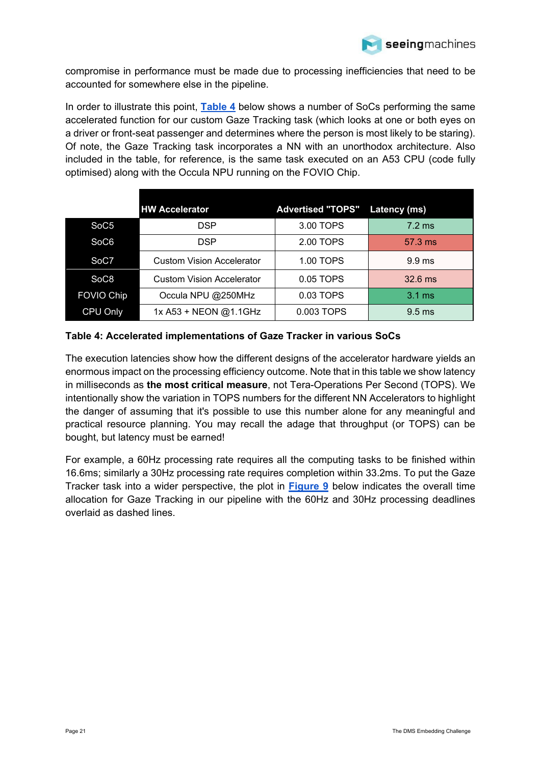

compromise in performance must be made due to processing inefficiencies that need to be accounted for somewhere else in the pipeline.

In order to illustrate this point, **[Table 4](#page-20-0)** below shows a number of SoCs performing the same accelerated function for our custom Gaze Tracking task (which looks at one or both eyes on a driver or front-seat passenger and determines where the person is most likely to be staring). Of note, the Gaze Tracking task incorporates a NN with an unorthodox architecture. Also included in the table, for reference, is the same task executed on an A53 CPU (code fully optimised) along with the Occula NPU running on the FOVIO Chip.

|                   | <b>HW Accelerator</b>            | <b>Advertised "TOPS"</b> | <b>Latency (ms)</b> |
|-------------------|----------------------------------|--------------------------|---------------------|
| SoC <sub>5</sub>  | <b>DSP</b>                       | 3.00 TOPS                | $7.2 \text{ ms}$    |
| SoC <sub>6</sub>  | <b>DSP</b>                       | 2.00 TOPS                | 57.3 ms             |
| SoC7              | <b>Custom Vision Accelerator</b> | 1.00 TOPS                | 9.9 <sub>ms</sub>   |
| SoC <sub>8</sub>  | <b>Custom Vision Accelerator</b> | 0.05 TOPS                | $32.6$ ms           |
| <b>FOVIO Chip</b> | Occula NPU @250MHz               | 0.03 TOPS                | $3.1 \text{ ms}$    |
| CPU Only          | 1x A53 + NEON @1.1GHz            | 0.003 TOPS               | $9.5$ ms            |

#### <span id="page-20-0"></span>**Table 4: Accelerated implementations of Gaze Tracker in various SoCs**

The execution latencies show how the different designs of the accelerator hardware yields an enormous impact on the processing efficiency outcome. Note that in this table we show latency in milliseconds as **the most critical measure**, not Tera-Operations Per Second (TOPS). We intentionally show the variation in TOPS numbers for the different NN Accelerators to highlight the danger of assuming that it's possible to use this number alone for any meaningful and practical resource planning. You may recall the adage that throughput (or TOPS) can be bought, but latency must be earned!

For example, a 60Hz processing rate requires all the computing tasks to be finished within 16.6ms; similarly a 30Hz processing rate requires completion within 33.2ms. To put the Gaze Tracker task into a wider perspective, the plot in **[Figure 9](#page-21-0)** below indicates the overall time allocation for Gaze Tracking in our pipeline with the 60Hz and 30Hz processing deadlines overlaid as dashed lines.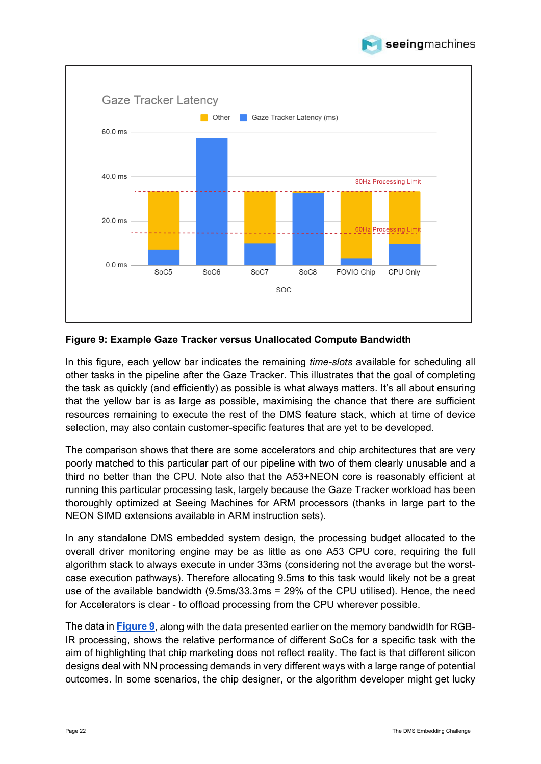



#### <span id="page-21-0"></span>**Figure 9: Example Gaze Tracker versus Unallocated Compute Bandwidth**

In this figure, each yellow bar indicates the remaining *time-slots* available for scheduling all other tasks in the pipeline after the Gaze Tracker. This illustrates that the goal of completing the task as quickly (and efficiently) as possible is what always matters. It's all about ensuring that the yellow bar is as large as possible, maximising the chance that there are sufficient resources remaining to execute the rest of the DMS feature stack, which at time of device selection, may also contain customer-specific features that are yet to be developed.

The comparison shows that there are some accelerators and chip architectures that are very poorly matched to this particular part of our pipeline with two of them clearly unusable and a third no better than the CPU. Note also that the A53+NEON core is reasonably efficient at running this particular processing task, largely because the Gaze Tracker workload has been thoroughly optimized at Seeing Machines for ARM processors (thanks in large part to the NEON SIMD extensions available in ARM instruction sets).

In any standalone DMS embedded system design, the processing budget allocated to the overall driver monitoring engine may be as little as one A53 CPU core, requiring the full algorithm stack to always execute in under 33ms (considering not the average but the worstcase execution pathways). Therefore allocating 9.5ms to this task would likely not be a great use of the available bandwidth (9.5ms/33.3ms = 29% of the CPU utilised). Hence, the need for Accelerators is clear - to offload processing from the CPU wherever possible.

The data in **[Figure 9](#page-21-0)**, along with the data presented earlier on the memory bandwidth for RGB-IR processing, shows the relative performance of different SoCs for a specific task with the aim of highlighting that chip marketing does not reflect reality. The fact is that different silicon designs deal with NN processing demands in very different ways with a large range of potential outcomes. In some scenarios, the chip designer, or the algorithm developer might get lucky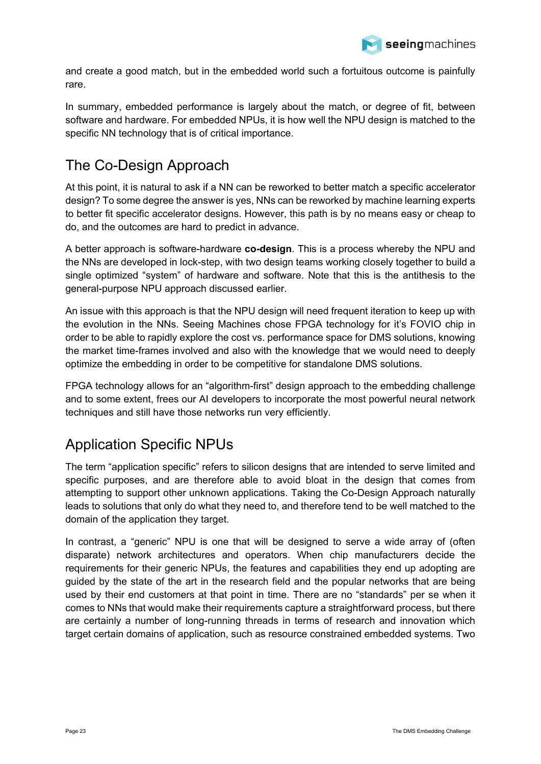

and create a good match, but in the embedded world such a fortuitous outcome is painfully rare.

In summary, embedded performance is largely about the match, or degree of fit, between software and hardware. For embedded NPUs, it is how well the NPU design is matched to the specific NN technology that is of critical importance.

### <span id="page-22-0"></span>The Co-Design Approach

At this point, it is natural to ask if a NN can be reworked to better match a specific accelerator design? To some degree the answer is yes, NNs can be reworked by machine learning experts to better fit specific accelerator designs. However, this path is by no means easy or cheap to do, and the outcomes are hard to predict in advance.

A better approach is software-hardware **co-design**. This is a process whereby the NPU and the NNs are developed in lock-step, with two design teams working closely together to build a single optimized "system" of hardware and software. Note that this is the antithesis to the general-purpose NPU approach discussed earlier.

An issue with this approach is that the NPU design will need frequent iteration to keep up with the evolution in the NNs. Seeing Machines chose FPGA technology for it's FOVIO chip in order to be able to rapidly explore the cost vs. performance space for DMS solutions, knowing the market time-frames involved and also with the knowledge that we would need to deeply optimize the embedding in order to be competitive for standalone DMS solutions.

FPGA technology allows for an "algorithm-first" design approach to the embedding challenge and to some extent, frees our AI developers to incorporate the most powerful neural network techniques and still have those networks run very efficiently.

### <span id="page-22-1"></span>Application Specific NPUs

The term "application specific" refers to silicon designs that are intended to serve limited and specific purposes, and are therefore able to avoid bloat in the design that comes from attempting to support other unknown applications. Taking the Co-Design Approach naturally leads to solutions that only do what they need to, and therefore tend to be well matched to the domain of the application they target.

<span id="page-22-3"></span><span id="page-22-2"></span>In contrast, a "generic" NPU is one that will be designed to serve a wide array of (often disparate) network architectures and operators. When chip manufacturers decide the requirements for their generic NPUs, the features and capabilities they end up adopting are guided by the state of the art in the research field and the popular networks that are being used by their end customers at that point in time. There are no "standards" per se when it comes to NNs that would make their requirements capture a straightforward process, but there are certainly a number of long-running threads in terms of research and innovation which target certain domains of application, such as resource constrained embedded systems. Two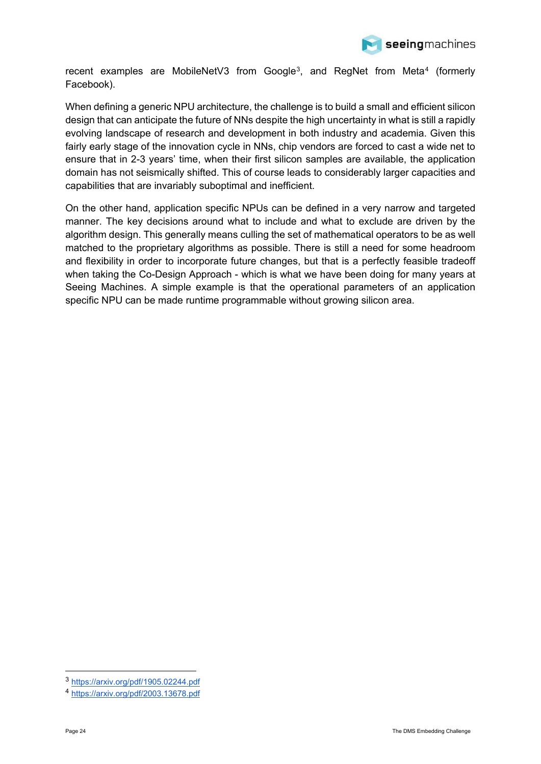

recent examples are MobileNetV[3](#page-22-2) from Google<sup>3</sup>, and RegNet from Meta<sup>[4](#page-22-3)</sup> (formerly Facebook).

When defining a generic NPU architecture, the challenge is to build a small and efficient silicon design that can anticipate the future of NNs despite the high uncertainty in what is still a rapidly evolving landscape of research and development in both industry and academia. Given this fairly early stage of the innovation cycle in NNs, chip vendors are forced to cast a wide net to ensure that in 2-3 years' time, when their first silicon samples are available, the application domain has not seismically shifted. This of course leads to considerably larger capacities and capabilities that are invariably suboptimal and inefficient.

On the other hand, application specific NPUs can be defined in a very narrow and targeted manner. The key decisions around what to include and what to exclude are driven by the algorithm design. This generally means culling the set of mathematical operators to be as well matched to the proprietary algorithms as possible. There is still a need for some headroom and flexibility in order to incorporate future changes, but that is a perfectly feasible tradeoff when taking the Co-Design Approach - which is what we have been doing for many years at Seeing Machines. A simple example is that the operational parameters of an application specific NPU can be made runtime programmable without growing silicon area.

<sup>3</sup> <https://arxiv.org/pdf/1905.02244.pdf>

<sup>4</sup> <https://arxiv.org/pdf/2003.13678.pdf>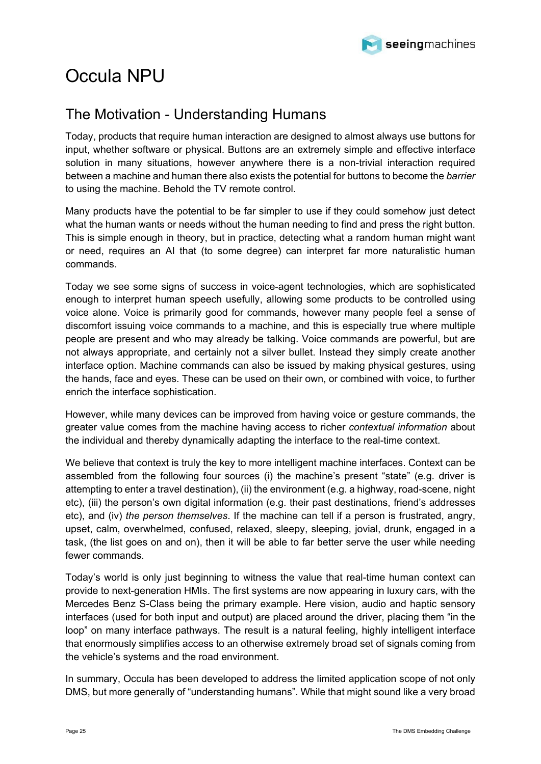

# <span id="page-24-0"></span>Occula NPU

### <span id="page-24-1"></span>The Motivation - Understanding Humans

Today, products that require human interaction are designed to almost always use buttons for input, whether software or physical. Buttons are an extremely simple and effective interface solution in many situations, however anywhere there is a non-trivial interaction required between a machine and human there also exists the potential for buttons to become the *barrier*  to using the machine. Behold the TV remote control.

Many products have the potential to be far simpler to use if they could somehow just detect what the human wants or needs without the human needing to find and press the right button. This is simple enough in theory, but in practice, detecting what a random human might want or need, requires an AI that (to some degree) can interpret far more naturalistic human commands.

Today we see some signs of success in voice-agent technologies, which are sophisticated enough to interpret human speech usefully, allowing some products to be controlled using voice alone. Voice is primarily good for commands, however many people feel a sense of discomfort issuing voice commands to a machine, and this is especially true where multiple people are present and who may already be talking. Voice commands are powerful, but are not always appropriate, and certainly not a silver bullet. Instead they simply create another interface option. Machine commands can also be issued by making physical gestures, using the hands, face and eyes. These can be used on their own, or combined with voice, to further enrich the interface sophistication.

However, while many devices can be improved from having voice or gesture commands, the greater value comes from the machine having access to richer *contextual information* about the individual and thereby dynamically adapting the interface to the real-time context.

We believe that context is truly the key to more intelligent machine interfaces. Context can be assembled from the following four sources (i) the machine's present "state" (e.g. driver is attempting to enter a travel destination), (ii) the environment (e.g. a highway, road-scene, night etc), (iii) the person's own digital information (e.g. their past destinations, friend's addresses etc), and (iv) *the person themselves*. If the machine can tell if a person is frustrated, angry, upset, calm, overwhelmed, confused, relaxed, sleepy, sleeping, jovial, drunk, engaged in a task, (the list goes on and on), then it will be able to far better serve the user while needing fewer commands.

Today's world is only just beginning to witness the value that real-time human context can provide to next-generation HMIs. The first systems are now appearing in luxury cars, with the Mercedes Benz S-Class being the primary example. Here vision, audio and haptic sensory interfaces (used for both input and output) are placed around the driver, placing them "in the loop" on many interface pathways. The result is a natural feeling, highly intelligent interface that enormously simplifies access to an otherwise extremely broad set of signals coming from the vehicle's systems and the road environment.

In summary, Occula has been developed to address the limited application scope of not only DMS, but more generally of "understanding humans". While that might sound like a very broad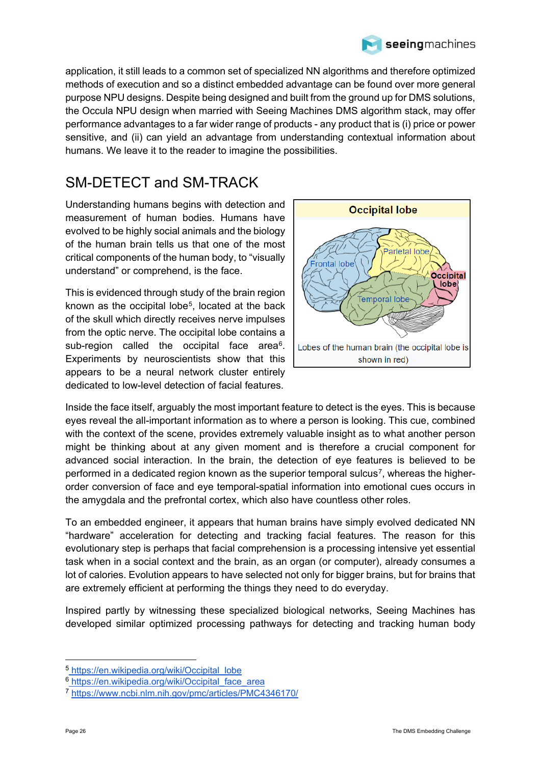

application, it still leads to a common set of specialized NN algorithms and therefore optimized methods of execution and so a distinct embedded advantage can be found over more general purpose NPU designs. Despite being designed and built from the ground up for DMS solutions, the Occula NPU design when married with Seeing Machines DMS algorithm stack, may offer performance advantages to a far wider range of products - any product that is (i) price or power sensitive, and (ii) can yield an advantage from understanding contextual information about humans. We leave it to the reader to imagine the possibilities.

### <span id="page-25-0"></span>SM-DETECT and SM-TRACK

Understanding humans begins with detection and measurement of human bodies. Humans have evolved to be highly social animals and the biology of the human brain tells us that one of the most critical components of the human body, to "visually understand" or comprehend, is the face.

This is evidenced through study of the brain region known as the occipital lobe<sup>5</sup>, located at the back of the skull which directly receives nerve impulses from the optic nerve. The occipital lobe contains a sub-region called the occipital face area<sup>6</sup>. Experiments by neuroscientists show that this appears to be a neural network cluster entirely dedicated to low-level detection of facial features.



Inside the face itself, arguably the most important feature to detect is the eyes. This is because eyes reveal the all-important information as to where a person is looking. This cue, combined with the context of the scene, provides extremely valuable insight as to what another person might be thinking about at any given moment and is therefore a crucial component for advanced social interaction. In the brain, the detection of eye features is believed to be performed in a dedicated region known as the superior temporal sulcus<sup>7</sup>, whereas the higherorder conversion of face and eye temporal-spatial information into emotional cues occurs in the amygdala and the prefrontal cortex, which also have countless other roles.

To an embedded engineer, it appears that human brains have simply evolved dedicated NN "hardware" acceleration for detecting and tracking facial features. The reason for this evolutionary step is perhaps that facial comprehension is a processing intensive yet essential task when in a social context and the brain, as an organ (or computer), already consumes a lot of calories. Evolution appears to have selected not only for bigger brains, but for brains that are extremely efficient at performing the things they need to do everyday.

Inspired partly by witnessing these specialized biological networks, Seeing Machines has developed similar optimized processing pathways for detecting and tracking human body

<span id="page-25-1"></span><sup>5</sup> [https://en.wikipedia.org/wiki/Occipital\\_lobe](https://en.wikipedia.org/wiki/Occipital_lobe)

<span id="page-25-2"></span><sup>&</sup>lt;sup>6</sup> https://en.wikipedia.org/wiki/Occipital face area

<span id="page-25-3"></span><sup>7</sup> <https://www.ncbi.nlm.nih.gov/pmc/articles/PMC4346170/>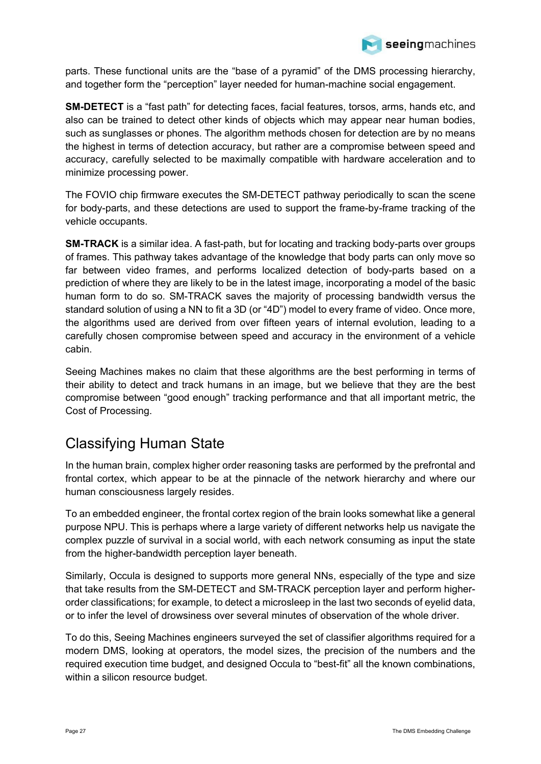

parts. These functional units are the "base of a pyramid" of the DMS processing hierarchy, and together form the "perception" layer needed for human-machine social engagement.

**SM-DETECT** is a "fast path" for detecting faces, facial features, torsos, arms, hands etc, and also can be trained to detect other kinds of objects which may appear near human bodies, such as sunglasses or phones. The algorithm methods chosen for detection are by no means the highest in terms of detection accuracy, but rather are a compromise between speed and accuracy, carefully selected to be maximally compatible with hardware acceleration and to minimize processing power.

The FOVIO chip firmware executes the SM-DETECT pathway periodically to scan the scene for body-parts, and these detections are used to support the frame-by-frame tracking of the vehicle occupants.

**SM-TRACK** is a similar idea. A fast-path, but for locating and tracking body-parts over groups of frames. This pathway takes advantage of the knowledge that body parts can only move so far between video frames, and performs localized detection of body-parts based on a prediction of where they are likely to be in the latest image, incorporating a model of the basic human form to do so. SM-TRACK saves the majority of processing bandwidth versus the standard solution of using a NN to fit a 3D (or "4D") model to every frame of video. Once more, the algorithms used are derived from over fifteen years of internal evolution, leading to a carefully chosen compromise between speed and accuracy in the environment of a vehicle cabin.

Seeing Machines makes no claim that these algorithms are the best performing in terms of their ability to detect and track humans in an image, but we believe that they are the best compromise between "good enough" tracking performance and that all important metric, the Cost of Processing.

### <span id="page-26-0"></span>Classifying Human State

In the human brain, complex higher order reasoning tasks are performed by the prefrontal and frontal cortex, which appear to be at the pinnacle of the network hierarchy and where our human consciousness largely resides.

To an embedded engineer, the frontal cortex region of the brain looks somewhat like a general purpose NPU. This is perhaps where a large variety of different networks help us navigate the complex puzzle of survival in a social world, with each network consuming as input the state from the higher-bandwidth perception layer beneath.

Similarly, Occula is designed to supports more general NNs, especially of the type and size that take results from the SM-DETECT and SM-TRACK perception layer and perform higherorder classifications; for example, to detect a microsleep in the last two seconds of eyelid data, or to infer the level of drowsiness over several minutes of observation of the whole driver.

To do this, Seeing Machines engineers surveyed the set of classifier algorithms required for a modern DMS, looking at operators, the model sizes, the precision of the numbers and the required execution time budget, and designed Occula to "best-fit" all the known combinations, within a silicon resource budget.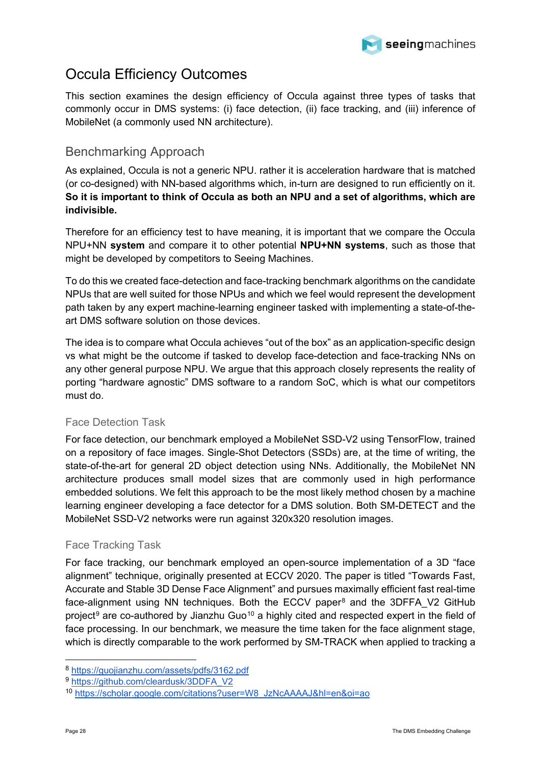

### <span id="page-27-0"></span>Occula Efficiency Outcomes

This section examines the design efficiency of Occula against three types of tasks that commonly occur in DMS systems: (i) face detection, (ii) face tracking, and (iii) inference of MobileNet (a commonly used NN architecture).

### <span id="page-27-1"></span>Benchmarking Approach

As explained, Occula is not a generic NPU. rather it is acceleration hardware that is matched (or co-designed) with NN-based algorithms which, in-turn are designed to run efficiently on it. **So it is important to think of Occula as both an NPU and a set of algorithms, which are indivisible.**

Therefore for an efficiency test to have meaning, it is important that we compare the Occula NPU+NN **system** and compare it to other potential **NPU+NN systems**, such as those that might be developed by competitors to Seeing Machines.

To do this we created face-detection and face-tracking benchmark algorithms on the candidate NPUs that are well suited for those NPUs and which we feel would represent the development path taken by any expert machine-learning engineer tasked with implementing a state-of-theart DMS software solution on those devices.

The idea is to compare what Occula achieves "out of the box" as an application-specific design vs what might be the outcome if tasked to develop face-detection and face-tracking NNs on any other general purpose NPU. We argue that this approach closely represents the reality of porting "hardware agnostic" DMS software to a random SoC, which is what our competitors must do.

### <span id="page-27-2"></span>Face Detection Task

For face detection, our benchmark employed a MobileNet SSD-V2 using TensorFlow, trained on a repository of face images. Single-Shot Detectors (SSDs) are, at the time of writing, the state-of-the-art for general 2D object detection using NNs. Additionally, the MobileNet NN architecture produces small model sizes that are commonly used in high performance embedded solutions. We felt this approach to be the most likely method chosen by a machine learning engineer developing a face detector for a DMS solution. Both SM-DETECT and the MobileNet SSD-V2 networks were run against 320x320 resolution images.

### <span id="page-27-3"></span>Face Tracking Task

For face tracking, our benchmark employed an open-source implementation of a 3D "face alignment" technique, originally presented at ECCV 2020. The paper is titled "Towards Fast, Accurate and Stable 3D Dense Face Alignment" and pursues maximally efficient fast real-time face-alignment using NN techniques. Both the ECCV paper<sup>[8](#page-27-4)</sup> and the 3DFFA V2 GitHub project<sup>[9](#page-27-5)</sup> are co-authored by Jianzhu Guo<sup>[10](#page-27-6)</sup> a highly cited and respected expert in the field of face processing. In our benchmark, we measure the time taken for the face alignment stage, which is directly comparable to the work performed by SM-TRACK when applied to tracking a

<span id="page-27-4"></span><sup>8</sup> <https://guojianzhu.com/assets/pdfs/3162.pdf>

<span id="page-27-5"></span><sup>9</sup> [https://github.com/cleardusk/3DDFA\\_V2](https://github.com/cleardusk/3DDFA_V2)

<span id="page-27-6"></span><sup>10</sup> [https://scholar.google.com/citations?user=W8\\_JzNcAAAAJ&hl=en&oi=ao](https://scholar.google.com/citations?user=W8_JzNcAAAAJ&hl=en&oi=ao)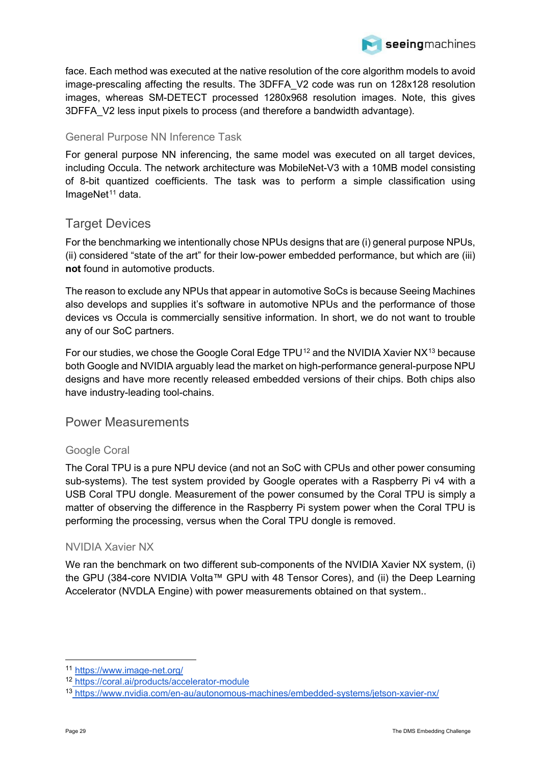

face. Each method was executed at the native resolution of the core algorithm models to avoid image-prescaling affecting the results. The 3DFFA\_V2 code was run on 128x128 resolution images, whereas SM-DETECT processed 1280x968 resolution images. Note, this gives 3DFFA\_V2 less input pixels to process (and therefore a bandwidth advantage).

### <span id="page-28-0"></span>General Purpose NN Inference Task

For general purpose NN inferencing, the same model was executed on all target devices, including Occula. The network architecture was MobileNet-V3 with a 10MB model consisting of 8-bit quantized coefficients. The task was to perform a simple classification using ImageNet<sup>[11](#page-28-5)</sup> data.

### <span id="page-28-1"></span>Target Devices

For the benchmarking we intentionally chose NPUs designs that are (i) general purpose NPUs, (ii) considered "state of the art" for their low-power embedded performance, but which are (iii) **not** found in automotive products.

The reason to exclude any NPUs that appear in automotive SoCs is because Seeing Machines also develops and supplies it's software in automotive NPUs and the performance of those devices vs Occula is commercially sensitive information. In short, we do not want to trouble any of our SoC partners.

For our studies, we chose the Google Coral Edge TPU<sup>[12](#page-28-6)</sup> and the NVIDIA Xavier NX<sup>[13](#page-28-7)</sup> because both Google and NVIDIA arguably lead the market on high-performance general-purpose NPU designs and have more recently released embedded versions of their chips. Both chips also have industry-leading tool-chains.

### <span id="page-28-2"></span>Power Measurements

### <span id="page-28-3"></span>Google Coral

The Coral TPU is a pure NPU device (and not an SoC with CPUs and other power consuming sub-systems). The test system provided by Google operates with a Raspberry Pi v4 with a USB Coral TPU dongle. Measurement of the power consumed by the Coral TPU is simply a matter of observing the difference in the Raspberry Pi system power when the Coral TPU is performing the processing, versus when the Coral TPU dongle is removed.

#### <span id="page-28-4"></span>NVIDIA Xavier NX

We ran the benchmark on two different sub-components of the NVIDIA Xavier NX system, (i) the GPU (384-core NVIDIA Volta™ GPU with 48 Tensor Cores), and (ii) the Deep Learning Accelerator (NVDLA Engine) with power measurements obtained on that system..

<span id="page-28-5"></span><sup>11</sup> <https://www.image-net.org/>

<span id="page-28-6"></span><sup>12</sup> <https://coral.ai/products/accelerator-module>

<span id="page-28-7"></span><sup>13</sup> <https://www.nvidia.com/en-au/autonomous-machines/embedded-systems/jetson-xavier-nx/>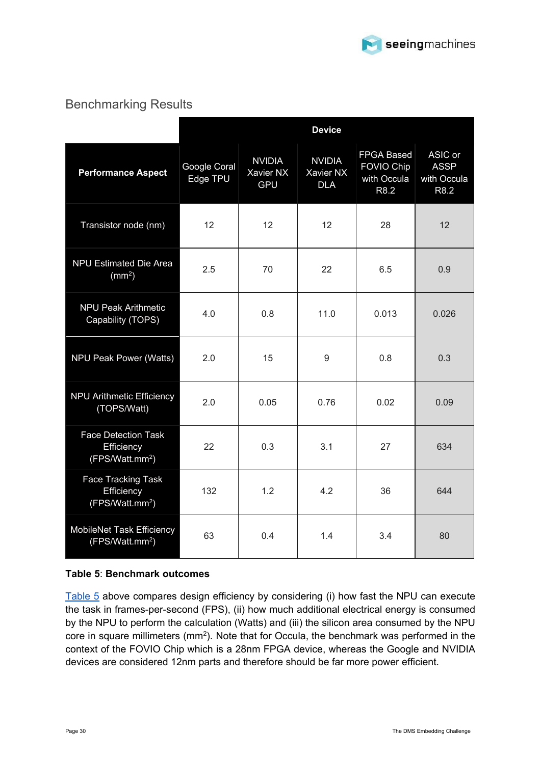

### <span id="page-29-0"></span>Benchmarking Results

|                                                                         | <b>Device</b>            |                                          |                                          |                                                               |                                               |
|-------------------------------------------------------------------------|--------------------------|------------------------------------------|------------------------------------------|---------------------------------------------------------------|-----------------------------------------------|
| <b>Performance Aspect</b>                                               | Google Coral<br>Edge TPU | <b>NVIDIA</b><br>Xavier NX<br><b>GPU</b> | <b>NVIDIA</b><br>Xavier NX<br><b>DLA</b> | <b>FPGA Based</b><br><b>FOVIO Chip</b><br>with Occula<br>R8.2 | ASIC or<br><b>ASSP</b><br>with Occula<br>R8.2 |
| Transistor node (nm)                                                    | 12                       | 12                                       | 12                                       | 28                                                            | 12                                            |
| <b>NPU Estimated Die Area</b><br>(mm <sup>2</sup> )                     | 2.5                      | 70                                       | 22                                       | 6.5                                                           | 0.9                                           |
| <b>NPU Peak Arithmetic</b><br>Capability (TOPS)                         | 4.0                      | 0.8                                      | 11.0                                     | 0.013                                                         | 0.026                                         |
| NPU Peak Power (Watts)                                                  | 2.0                      | 15                                       | $9\,$                                    | 0.8                                                           | 0.3                                           |
| <b>NPU Arithmetic Efficiency</b><br>(TOPS/Watt)                         | 2.0                      | 0.05                                     | 0.76                                     | 0.02                                                          | 0.09                                          |
| <b>Face Detection Task</b><br>Efficiency<br>(FPS/Watt.mm <sup>2</sup> ) | 22                       | 0.3                                      | 3.1                                      | 27                                                            | 634                                           |
| <b>Face Tracking Task</b><br>Efficiency<br>(FPS/Watt.mm <sup>2</sup> )  | 132                      | 1.2                                      | 4.2                                      | 36                                                            | 644                                           |
| MobileNet Task Efficiency<br>(FPS/Watt.mm <sup>2</sup> )                | 63                       | 0.4                                      | 1.4                                      | 3.4                                                           | 80                                            |

#### <span id="page-29-1"></span>**Table 5**: **Benchmark outcomes**

[Table 5](#page-29-1) above compares design efficiency by considering (i) how fast the NPU can execute the task in frames-per-second (FPS), (ii) how much additional electrical energy is consumed by the NPU to perform the calculation (Watts) and (iii) the silicon area consumed by the NPU core in square millimeters (mm2). Note that for Occula, the benchmark was performed in the context of the FOVIO Chip which is a 28nm FPGA device, whereas the Google and NVIDIA devices are considered 12nm parts and therefore should be far more power efficient.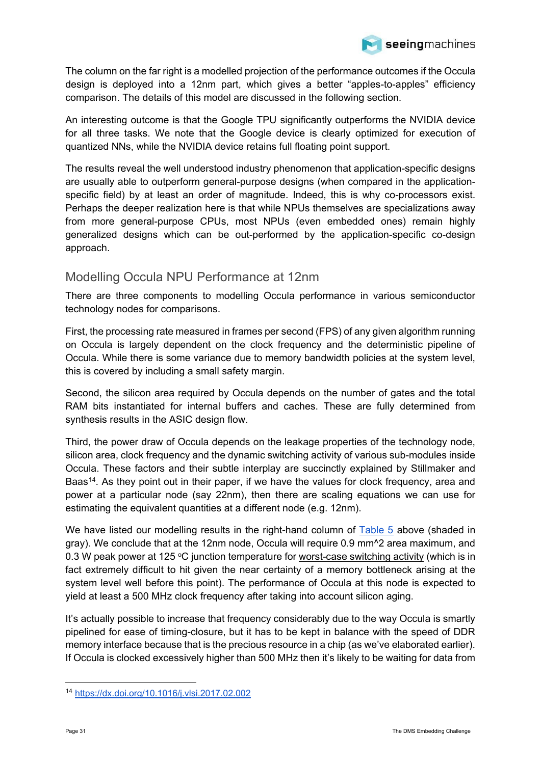

The column on the far right is a modelled projection of the performance outcomes if the Occula design is deployed into a 12nm part, which gives a better "apples-to-apples" efficiency comparison. The details of this model are discussed in the following section.

An interesting outcome is that the Google TPU significantly outperforms the NVIDIA device for all three tasks. We note that the Google device is clearly optimized for execution of quantized NNs, while the NVIDIA device retains full floating point support.

The results reveal the well understood industry phenomenon that application-specific designs are usually able to outperform general-purpose designs (when compared in the applicationspecific field) by at least an order of magnitude. Indeed, this is why co-processors exist. Perhaps the deeper realization here is that while NPUs themselves are specializations away from more general-purpose CPUs, most NPUs (even embedded ones) remain highly generalized designs which can be out-performed by the application-specific co-design approach.

### <span id="page-30-0"></span>Modelling Occula NPU Performance at 12nm

There are three components to modelling Occula performance in various semiconductor technology nodes for comparisons.

First, the processing rate measured in frames per second (FPS) of any given algorithm running on Occula is largely dependent on the clock frequency and the deterministic pipeline of Occula. While there is some variance due to memory bandwidth policies at the system level, this is covered by including a small safety margin.

Second, the silicon area required by Occula depends on the number of gates and the total RAM bits instantiated for internal buffers and caches. These are fully determined from synthesis results in the ASIC design flow.

Third, the power draw of Occula depends on the leakage properties of the technology node, silicon area, clock frequency and the dynamic switching activity of various sub-modules inside Occula. These factors and their subtle interplay are succinctly explained by Stillmaker and Baas<sup>[14](#page-30-1)</sup>. As they point out in their paper, if we have the values for clock frequency, area and power at a particular node (say 22nm), then there are scaling equations we can use for estimating the equivalent quantities at a different node (e.g. 12nm).

We have listed our modelling results in the right-hand column of [Table 5](#page-29-1) above (shaded in gray). We conclude that at the 12nm node, Occula will require 0.9 mm^2 area maximum, and 0.3 W peak power at 125  $\degree$ C junction temperature for worst-case switching activity (which is in fact extremely difficult to hit given the near certainty of a memory bottleneck arising at the system level well before this point). The performance of Occula at this node is expected to yield at least a 500 MHz clock frequency after taking into account silicon aging.

It's actually possible to increase that frequency considerably due to the way Occula is smartly pipelined for ease of timing-closure, but it has to be kept in balance with the speed of DDR memory interface because that is the precious resource in a chip (as we've elaborated earlier). If Occula is clocked excessively higher than 500 MHz then it's likely to be waiting for data from

<span id="page-30-1"></span><sup>14</sup> <https://dx.doi.org/10.1016/j.vlsi.2017.02.002>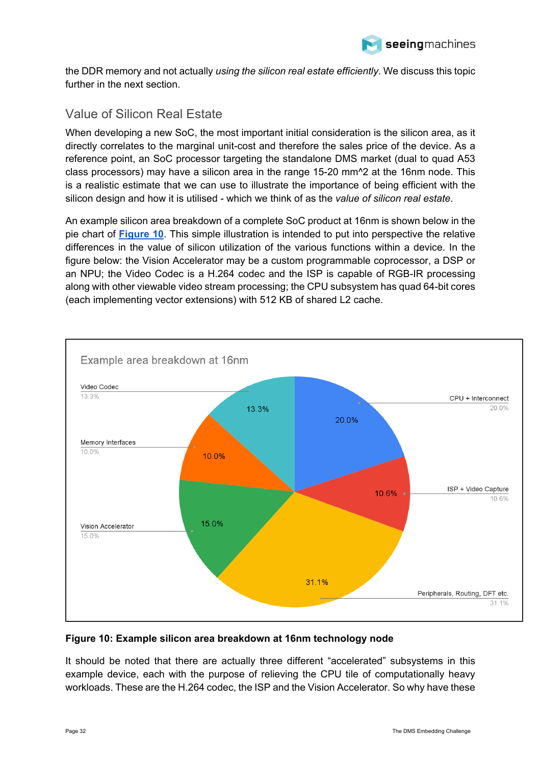

the DDR memory and not actually *using the silicon real estate efficiently*. We discuss this topic further in the next section.

### <span id="page-31-0"></span>Value of Silicon Real Estate

When developing a new SoC, the most important initial consideration is the silicon area, as it directly correlates to the marginal unit-cost and therefore the sales price of the device. As a reference point, an SoC processor targeting the standalone DMS market (dual to quad A53 class processors) may have a silicon area in the range 15-20 mm^2 at the 16nm node. This is a realistic estimate that we can use to illustrate the importance of being efficient with the silicon design and how it is utilised - which we think of as the *value of silicon real estate*.

An example silicon area breakdown of a complete SoC product at 16nm is shown below in the pie chart of **[Figure 10](#page-31-1)**. This simple illustration is intended to put into perspective the relative differences in the value of silicon utilization of the various functions within a device. In the figure below: the Vision Accelerator may be a custom programmable coprocessor, a DSP or an NPU; the Video Codec is a H.264 codec and the ISP is capable of RGB-IR processing along with other viewable video stream processing; the CPU subsystem has quad 64-bit cores (each implementing vector extensions) with 512 KB of shared L2 cache.



#### <span id="page-31-1"></span>**Figure 10: Example silicon area breakdown at 16nm technology node**

It should be noted that there are actually three different "accelerated" subsystems in this example device, each with the purpose of relieving the CPU tile of computationally heavy workloads. These are the H.264 codec, the ISP and the Vision Accelerator. So why have these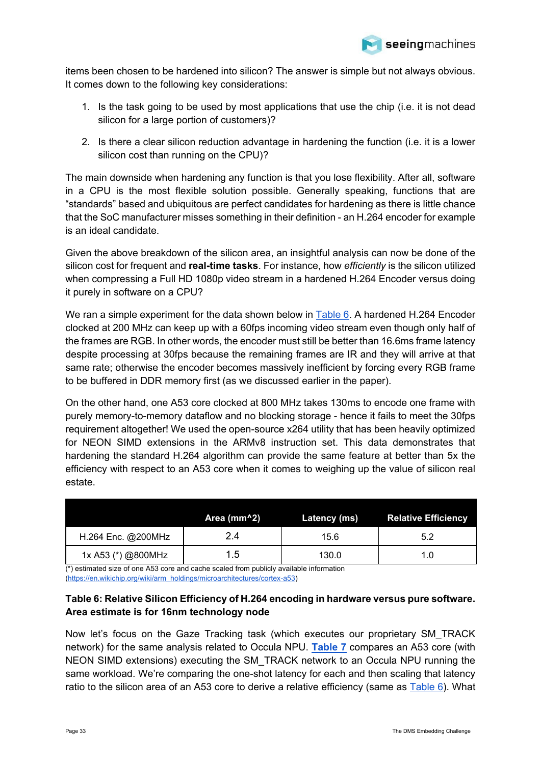

items been chosen to be hardened into silicon? The answer is simple but not always obvious. It comes down to the following key considerations:

- 1. Is the task going to be used by most applications that use the chip (i.e. it is not dead silicon for a large portion of customers)?
- 2. Is there a clear silicon reduction advantage in hardening the function (i.e. it is a lower silicon cost than running on the CPU)?

The main downside when hardening any function is that you lose flexibility. After all, software in a CPU is the most flexible solution possible. Generally speaking, functions that are "standards" based and ubiquitous are perfect candidates for hardening as there is little chance that the SoC manufacturer misses something in their definition - an H.264 encoder for example is an ideal candidate.

Given the above breakdown of the silicon area, an insightful analysis can now be done of the silicon cost for frequent and **real-time tasks**. For instance, how *efficiently* is the silicon utilized when compressing a Full HD 1080p video stream in a hardened H.264 Encoder versus doing it purely in software on a CPU?

We ran a simple experiment for the data shown below in [Table 6.](#page-32-0) A hardened H.264 Encoder clocked at 200 MHz can keep up with a 60fps incoming video stream even though only half of the frames are RGB. In other words, the encoder must still be better than 16.6ms frame latency despite processing at 30fps because the remaining frames are IR and they will arrive at that same rate; otherwise the encoder becomes massively inefficient by forcing every RGB frame to be buffered in DDR memory first (as we discussed earlier in the paper).

On the other hand, one A53 core clocked at 800 MHz takes 130ms to encode one frame with purely memory-to-memory dataflow and no blocking storage - hence it fails to meet the 30fps requirement altogether! We used the open-source x264 utility that has been heavily optimized for NEON SIMD extensions in the ARMv8 instruction set. This data demonstrates that hardening the standard H.264 algorithm can provide the same feature at better than 5x the efficiency with respect to an A53 core when it comes to weighing up the value of silicon real estate.

|                    | Area (mm^2) | Latency (ms) | <b>Relative Efficiency</b> |
|--------------------|-------------|--------------|----------------------------|
| H.264 Enc. @200MHz | 2.4         | 15.6         | 5.2                        |
| 1x A53 (*) @800MHz | 1.5         | 130.0        | l.U                        |

(\*) estimated size of one A53 core and cache scaled from publicly available information [\(https://en.wikichip.org/wiki/arm\\_holdings/microarchitectures/cortex-a53\)](https://en.wikichip.org/wiki/arm_holdings/microarchitectures/cortex-a53)

#### <span id="page-32-0"></span>**Table 6: Relative Silicon Efficiency of H.264 encoding in hardware versus pure software. Area estimate is for 16nm technology node**

Now let's focus on the Gaze Tracking task (which executes our proprietary SM\_TRACK network) for the same analysis related to Occula NPU. **[Table 7](#page-33-0)** compares an A53 core (with NEON SIMD extensions) executing the SM\_TRACK network to an Occula NPU running the same workload. We're comparing the one-shot latency for each and then scaling that latency ratio to the silicon area of an A53 core to derive a relative efficiency (same as [Table 6\)](#page-32-0). What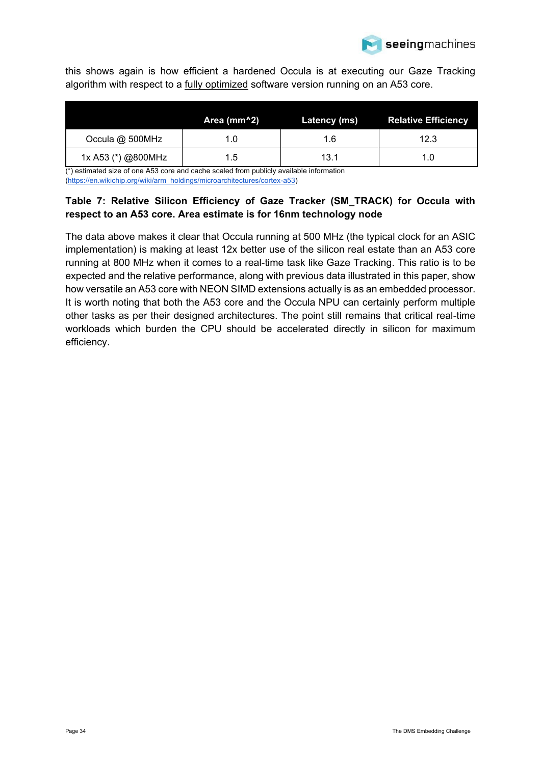

this shows again is how efficient a hardened Occula is at executing our Gaze Tracking algorithm with respect to a fully optimized software version running on an A53 core.

|                    | Area (mm^2) | Latency (ms) | <b>Relative Efficiency</b> |
|--------------------|-------------|--------------|----------------------------|
| Occula @ 500MHz    | 1.0         | 1.6          | 12.3                       |
| 1x A53 (*) @800MHz | 1.5         | 13.1         | 1.0                        |

 $\overline{(*)}$  estimated size of one A53 core and cache scaled from publicly available information [\(https://en.wikichip.org/wiki/arm\\_holdings/microarchitectures/cortex-a53\)](https://en.wikichip.org/wiki/arm_holdings/microarchitectures/cortex-a53)

### <span id="page-33-0"></span>**Table 7: Relative Silicon Efficiency of Gaze Tracker (SM\_TRACK) for Occula with respect to an A53 core. Area estimate is for 16nm technology node**

The data above makes it clear that Occula running at 500 MHz (the typical clock for an ASIC implementation) is making at least 12x better use of the silicon real estate than an A53 core running at 800 MHz when it comes to a real-time task like Gaze Tracking. This ratio is to be expected and the relative performance, along with previous data illustrated in this paper, show how versatile an A53 core with NEON SIMD extensions actually is as an embedded processor. It is worth noting that both the A53 core and the Occula NPU can certainly perform multiple other tasks as per their designed architectures. The point still remains that critical real-time workloads which burden the CPU should be accelerated directly in silicon for maximum efficiency.